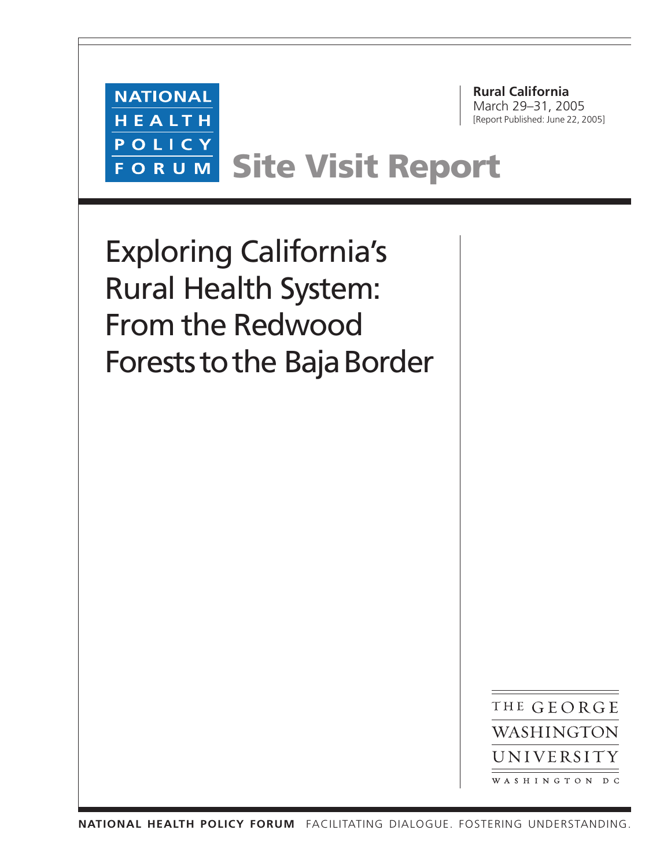**Rural California** March 29–31, 2005 [Report Published: June 22, 2005]

**NATIONAL** HEALTH POLICY **FORUM** 

**Site Visit Report**

Exploring California's Rural Health System: From the Redwood Forests to the Baja Border

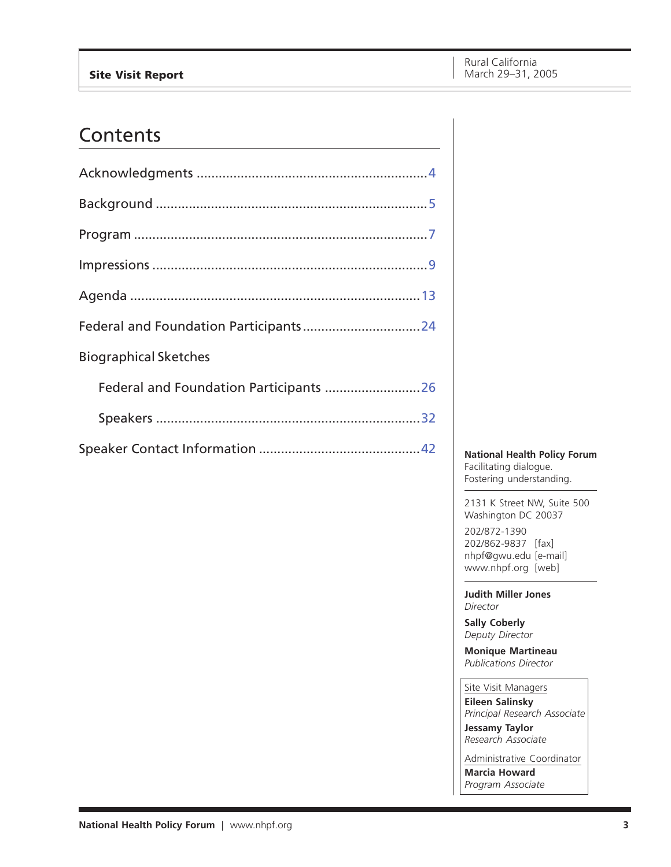## Contents

| <b>Biographical Sketches</b>           |  |
|----------------------------------------|--|
| Federal and Foundation Participants 26 |  |
|                                        |  |
|                                        |  |

**National Health Policy Forum** Facilitating dialogue. Fostering understanding.

2131 K Street NW, Suite 500 Washington DC 20037 202/872-1390

202/862-9837 [fax] nhpf@gwu.edu [e-mail] www.nhpf.org [web]

**Judith Miller Jones** *Director*

**Sally Coberly** *Deputy Director*

**Monique Martineau** *Publications Director*

Site Visit Managers **Eileen Salinsky** *Principal Research Associate*

**Jessamy Taylor** *Research Associate*

Administrative Coordinator **Marcia Howard** *Program Associate*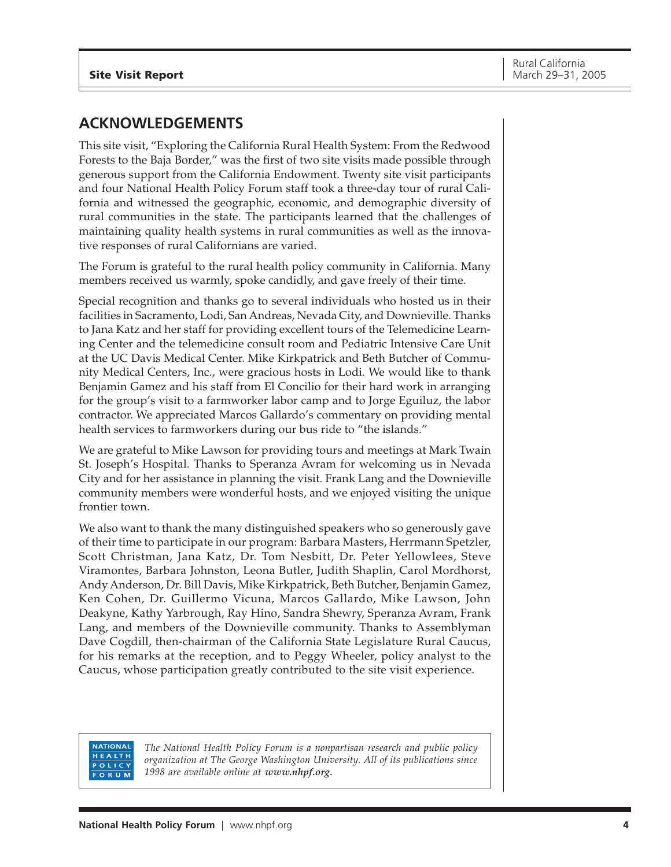## <span id="page-3-0"></span>**ACKNOWLEDGEMENTS**

This site visit, "Exploring the California Rural Health System: From the Redwood Forests to the Baja Border," was the first of two site visits made possible through generous support from the California Endowment. Twenty site visit participants and four National Health Policy Forum staff took a three-day tour of rural California and witnessed the geographic, economic, and demographic diversity of rural communities in the state. The participants learned that the challenges of maintaining quality health systems in rural communities as well as the innovative responses of rural Californians are varied.

The Forum is grateful to the rural health policy community in California. Many members received us warmly, spoke candidly, and gave freely of their time.

Special recognition and thanks go to several individuals who hosted us in their facilities in Sacramento, Lodi, San Andreas, Nevada City, and Downieville. Thanks to Jana Katz and her staff for providing excellent tours of the Telemedicine Learning Center and the telemedicine consult room and Pediatric Intensive Care Unit at the UC Davis Medical Center. Mike Kirkpatrick and Beth Butcher of Community Medical Centers, Inc., were gracious hosts in Lodi. We would like to thank Benjamin Gamez and his staff from El Concilio for their hard work in arranging for the group's visit to a farmworker labor camp and to Jorge Eguiluz, the labor contractor. We appreciated Marcos Gallardo's commentary on providing mental health services to farmworkers during our bus ride to "the islands."

We are grateful to Mike Lawson for providing tours and meetings at Mark Twain St. Joseph's Hospital. Thanks to Speranza Avram for welcoming us in Nevada City and for her assistance in planning the visit. Frank Lang and the Downieville community members were wonderful hosts, and we enjoyed visiting the unique frontier town.

We also want to thank the many distinguished speakers who so generously gave of their time to participate in our program: Barbara Masters, Herrmann Spetzler, Scott Christman, Jana Katz, Dr. Tom Nesbitt, Dr. Peter Yellowlees, Steve Viramontes, Barbara Johnston, Leona Butler, Judith Shaplin, Carol Mordhorst, Andy Anderson, Dr. Bill Davis, Mike Kirkpatrick, Beth Butcher, Benjamin Gamez, Ken Cohen, Dr. Guillermo Vicuna, Marcos Gallardo, Mike Lawson, John Deakyne, Kathy Yarbrough, Ray Hino, Sandra Shewry, Speranza Avram, Frank Lang, and members of the Downieville community. Thanks to Assemblyman Dave Cogdill, then-chairman of the California State Legislature Rural Caucus, for his remarks at the reception, and to Peggy Wheeler, policy analyst to the Caucus, whose participation greatly contributed to the site visit experience.

#### **NATIONAL** HEALTH POLICY ORUM

*The National Health Policy Forum is a nonpartisan research and public policy organization at The George Washington University. All of its publications since 1998 are available online at www.nhpf.org.*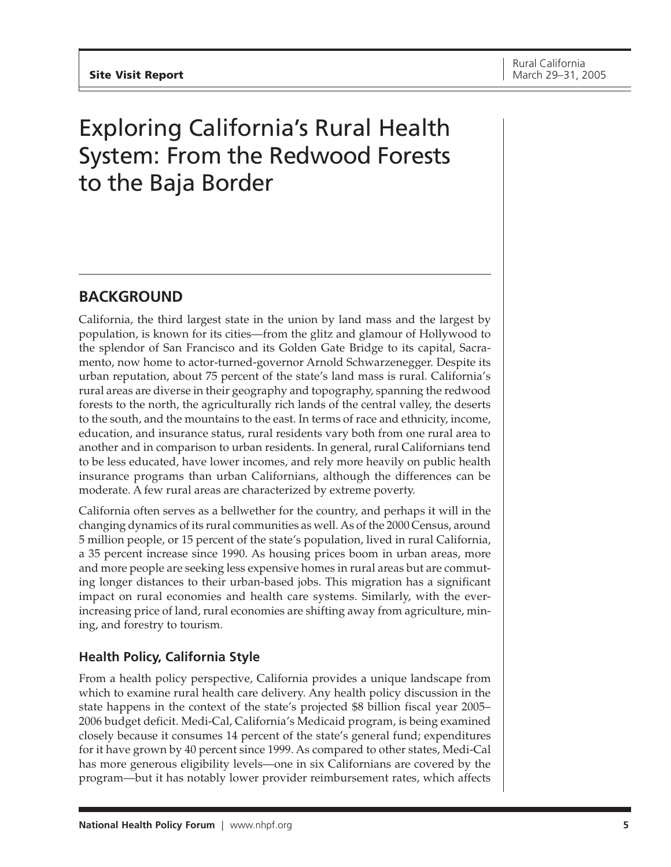# <span id="page-4-0"></span>Exploring California's Rural Health System: From the Redwood Forests to the Baja Border

## **BACKGROUND**

California, the third largest state in the union by land mass and the largest by population, is known for its cities—from the glitz and glamour of Hollywood to the splendor of San Francisco and its Golden Gate Bridge to its capital, Sacramento, now home to actor-turned-governor Arnold Schwarzenegger. Despite its urban reputation, about 75 percent of the state's land mass is rural. California's rural areas are diverse in their geography and topography, spanning the redwood forests to the north, the agriculturally rich lands of the central valley, the deserts to the south, and the mountains to the east. In terms of race and ethnicity, income, education, and insurance status, rural residents vary both from one rural area to another and in comparison to urban residents. In general, rural Californians tend to be less educated, have lower incomes, and rely more heavily on public health insurance programs than urban Californians, although the differences can be moderate. A few rural areas are characterized by extreme poverty.

California often serves as a bellwether for the country, and perhaps it will in the changing dynamics of its rural communities as well. As of the 2000 Census, around 5 million people, or 15 percent of the state's population, lived in rural California, a 35 percent increase since 1990. As housing prices boom in urban areas, more and more people are seeking less expensive homes in rural areas but are commuting longer distances to their urban-based jobs. This migration has a significant impact on rural economies and health care systems. Similarly, with the everincreasing price of land, rural economies are shifting away from agriculture, mining, and forestry to tourism.

## **Health Policy, California Style**

From a health policy perspective, California provides a unique landscape from which to examine rural health care delivery. Any health policy discussion in the state happens in the context of the state's projected \$8 billion fiscal year 2005– 2006 budget deficit. Medi-Cal, California's Medicaid program, is being examined closely because it consumes 14 percent of the state's general fund; expenditures for it have grown by 40 percent since 1999. As compared to other states, Medi-Cal has more generous eligibility levels—one in six Californians are covered by the program—but it has notably lower provider reimbursement rates, which affects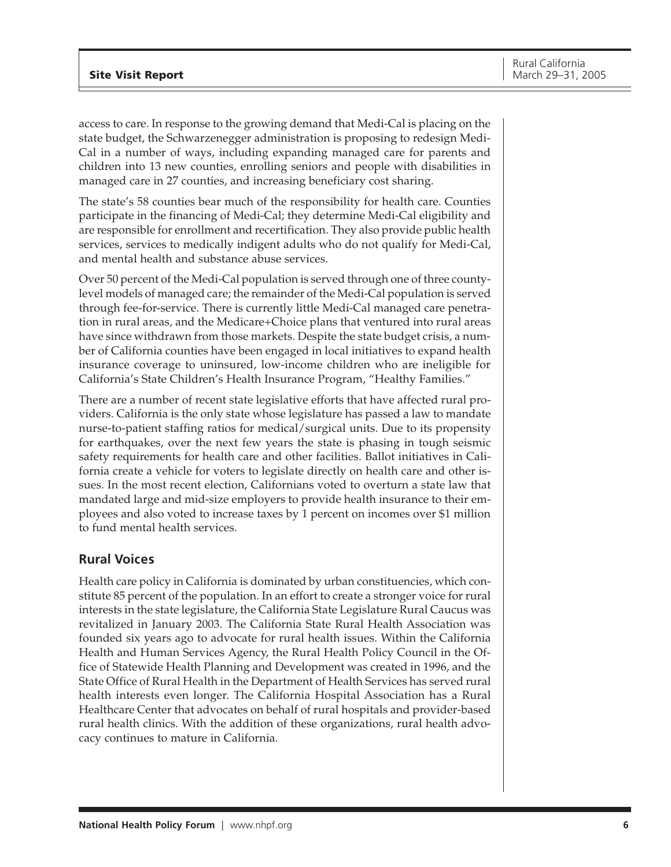access to care. In response to the growing demand that Medi-Cal is placing on the state budget, the Schwarzenegger administration is proposing to redesign Medi-Cal in a number of ways, including expanding managed care for parents and children into 13 new counties, enrolling seniors and people with disabilities in managed care in 27 counties, and increasing beneficiary cost sharing.

The state's 58 counties bear much of the responsibility for health care. Counties participate in the financing of Medi-Cal; they determine Medi-Cal eligibility and are responsible for enrollment and recertification. They also provide public health services, services to medically indigent adults who do not qualify for Medi-Cal, and mental health and substance abuse services.

Over 50 percent of the Medi-Cal population is served through one of three countylevel models of managed care; the remainder of the Medi-Cal population is served through fee-for-service. There is currently little Medi-Cal managed care penetration in rural areas, and the Medicare+Choice plans that ventured into rural areas have since withdrawn from those markets. Despite the state budget crisis, a number of California counties have been engaged in local initiatives to expand health insurance coverage to uninsured, low-income children who are ineligible for California's State Children's Health Insurance Program, "Healthy Families."

There are a number of recent state legislative efforts that have affected rural providers. California is the only state whose legislature has passed a law to mandate nurse-to-patient staffing ratios for medical/surgical units. Due to its propensity for earthquakes, over the next few years the state is phasing in tough seismic safety requirements for health care and other facilities. Ballot initiatives in California create a vehicle for voters to legislate directly on health care and other issues. In the most recent election, Californians voted to overturn a state law that mandated large and mid-size employers to provide health insurance to their employees and also voted to increase taxes by 1 percent on incomes over \$1 million to fund mental health services.

## **Rural Voices**

Health care policy in California is dominated by urban constituencies, which constitute 85 percent of the population. In an effort to create a stronger voice for rural interests in the state legislature, the California State Legislature Rural Caucus was revitalized in January 2003. The California State Rural Health Association was founded six years ago to advocate for rural health issues. Within the California Health and Human Services Agency, the Rural Health Policy Council in the Office of Statewide Health Planning and Development was created in 1996, and the State Office of Rural Health in the Department of Health Services has served rural health interests even longer. The California Hospital Association has a Rural Healthcare Center that advocates on behalf of rural hospitals and provider-based rural health clinics. With the addition of these organizations, rural health advocacy continues to mature in California.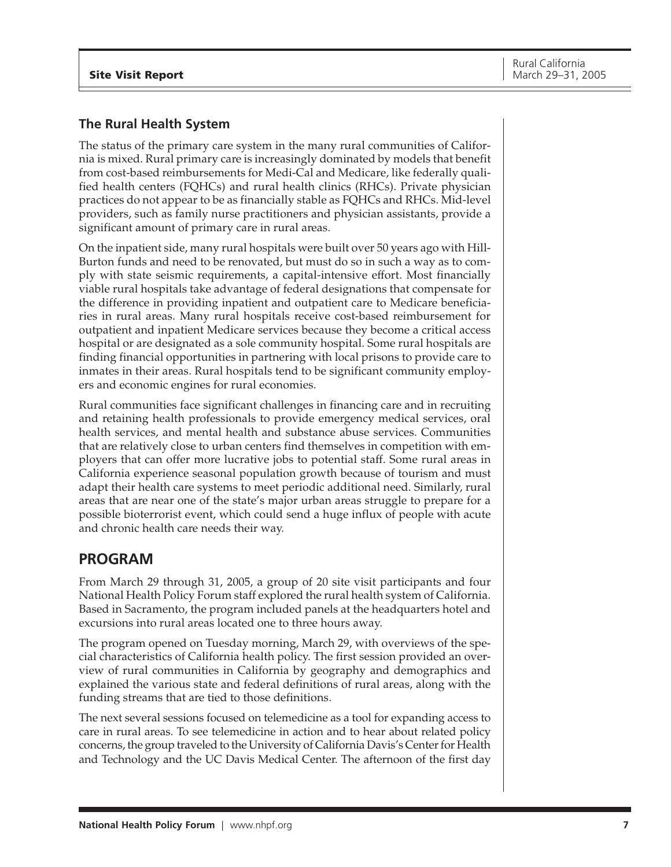## <span id="page-6-0"></span>**The Rural Health System**

The status of the primary care system in the many rural communities of California is mixed. Rural primary care is increasingly dominated by models that benefit from cost-based reimbursements for Medi-Cal and Medicare, like federally qualified health centers (FQHCs) and rural health clinics (RHCs). Private physician practices do not appear to be as financially stable as FQHCs and RHCs. Mid-level providers, such as family nurse practitioners and physician assistants, provide a significant amount of primary care in rural areas.

On the inpatient side, many rural hospitals were built over 50 years ago with Hill-Burton funds and need to be renovated, but must do so in such a way as to comply with state seismic requirements, a capital-intensive effort. Most financially viable rural hospitals take advantage of federal designations that compensate for the difference in providing inpatient and outpatient care to Medicare beneficiaries in rural areas. Many rural hospitals receive cost-based reimbursement for outpatient and inpatient Medicare services because they become a critical access hospital or are designated as a sole community hospital. Some rural hospitals are finding financial opportunities in partnering with local prisons to provide care to inmates in their areas. Rural hospitals tend to be significant community employers and economic engines for rural economies.

Rural communities face significant challenges in financing care and in recruiting and retaining health professionals to provide emergency medical services, oral health services, and mental health and substance abuse services. Communities that are relatively close to urban centers find themselves in competition with employers that can offer more lucrative jobs to potential staff. Some rural areas in California experience seasonal population growth because of tourism and must adapt their health care systems to meet periodic additional need. Similarly, rural areas that are near one of the state's major urban areas struggle to prepare for a possible bioterrorist event, which could send a huge influx of people with acute and chronic health care needs their way.

## **PROGRAM**

From March 29 through 31, 2005, a group of 20 site visit participants and four National Health Policy Forum staff explored the rural health system of California. Based in Sacramento, the program included panels at the headquarters hotel and excursions into rural areas located one to three hours away.

The program opened on Tuesday morning, March 29, with overviews of the special characteristics of California health policy. The first session provided an overview of rural communities in California by geography and demographics and explained the various state and federal definitions of rural areas, along with the funding streams that are tied to those definitions.

The next several sessions focused on telemedicine as a tool for expanding access to care in rural areas. To see telemedicine in action and to hear about related policy concerns, the group traveled to the University of California Davis's Center for Health and Technology and the UC Davis Medical Center. The afternoon of the first day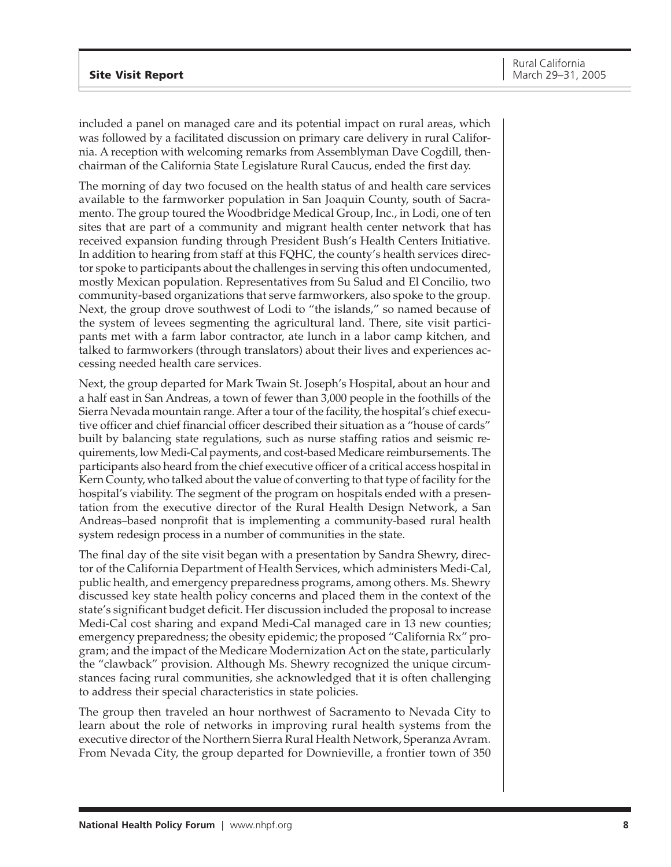included a panel on managed care and its potential impact on rural areas, which was followed by a facilitated discussion on primary care delivery in rural California. A reception with welcoming remarks from Assemblyman Dave Cogdill, thenchairman of the California State Legislature Rural Caucus, ended the first day.

The morning of day two focused on the health status of and health care services available to the farmworker population in San Joaquin County, south of Sacramento. The group toured the Woodbridge Medical Group, Inc., in Lodi, one of ten sites that are part of a community and migrant health center network that has received expansion funding through President Bush's Health Centers Initiative. In addition to hearing from staff at this FQHC, the county's health services director spoke to participants about the challenges in serving this often undocumented, mostly Mexican population. Representatives from Su Salud and El Concilio, two community-based organizations that serve farmworkers, also spoke to the group. Next, the group drove southwest of Lodi to "the islands," so named because of the system of levees segmenting the agricultural land. There, site visit participants met with a farm labor contractor, ate lunch in a labor camp kitchen, and talked to farmworkers (through translators) about their lives and experiences accessing needed health care services.

Next, the group departed for Mark Twain St. Joseph's Hospital, about an hour and a half east in San Andreas, a town of fewer than 3,000 people in the foothills of the Sierra Nevada mountain range. After a tour of the facility, the hospital's chief executive officer and chief financial officer described their situation as a "house of cards" built by balancing state regulations, such as nurse staffing ratios and seismic requirements, low Medi-Cal payments, and cost-based Medicare reimbursements. The participants also heard from the chief executive officer of a critical access hospital in Kern County, who talked about the value of converting to that type of facility for the hospital's viability. The segment of the program on hospitals ended with a presentation from the executive director of the Rural Health Design Network, a San Andreas–based nonprofit that is implementing a community-based rural health system redesign process in a number of communities in the state.

The final day of the site visit began with a presentation by Sandra Shewry, director of the California Department of Health Services, which administers Medi-Cal, public health, and emergency preparedness programs, among others. Ms. Shewry discussed key state health policy concerns and placed them in the context of the state's significant budget deficit. Her discussion included the proposal to increase Medi-Cal cost sharing and expand Medi-Cal managed care in 13 new counties; emergency preparedness; the obesity epidemic; the proposed "California Rx" program; and the impact of the Medicare Modernization Act on the state, particularly the "clawback" provision. Although Ms. Shewry recognized the unique circumstances facing rural communities, she acknowledged that it is often challenging to address their special characteristics in state policies.

The group then traveled an hour northwest of Sacramento to Nevada City to learn about the role of networks in improving rural health systems from the executive director of the Northern Sierra Rural Health Network, Speranza Avram. From Nevada City, the group departed for Downieville, a frontier town of 350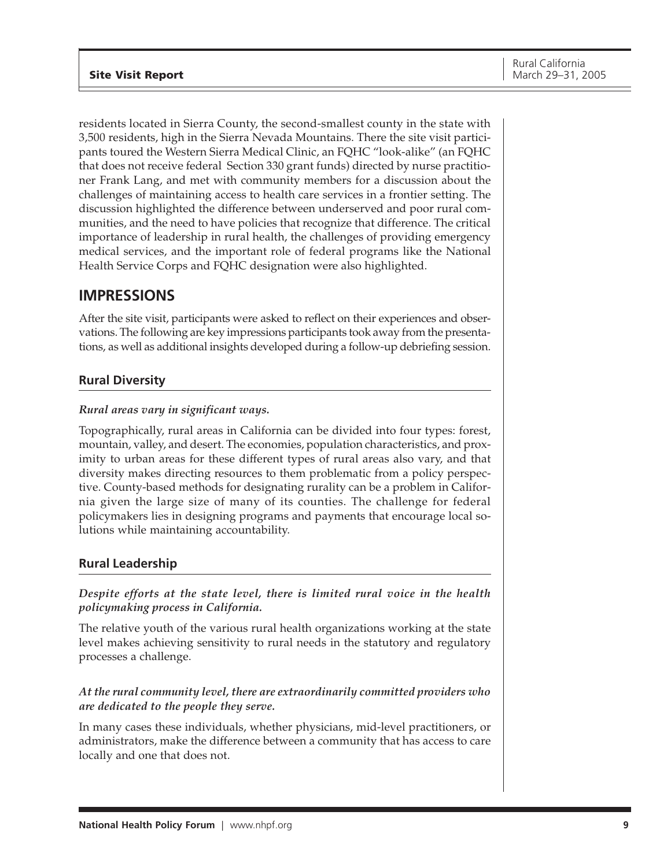<span id="page-8-0"></span>residents located in Sierra County, the second-smallest county in the state with 3,500 residents, high in the Sierra Nevada Mountains. There the site visit participants toured the Western Sierra Medical Clinic, an FQHC "look-alike" (an FQHC that does not receive federal Section 330 grant funds) directed by nurse practitioner Frank Lang, and met with community members for a discussion about the challenges of maintaining access to health care services in a frontier setting. The discussion highlighted the difference between underserved and poor rural communities, and the need to have policies that recognize that difference. The critical importance of leadership in rural health, the challenges of providing emergency medical services, and the important role of federal programs like the National Health Service Corps and FQHC designation were also highlighted.

## **IMPRESSIONS**

After the site visit, participants were asked to reflect on their experiences and observations. The following are key impressions participants took away from the presentations, as well as additional insights developed during a follow-up debriefing session.

## **Rural Diversity**

## *Rural areas vary in significant ways.*

Topographically, rural areas in California can be divided into four types: forest, mountain, valley, and desert. The economies, population characteristics, and proximity to urban areas for these different types of rural areas also vary, and that diversity makes directing resources to them problematic from a policy perspective. County-based methods for designating rurality can be a problem in California given the large size of many of its counties. The challenge for federal policymakers lies in designing programs and payments that encourage local solutions while maintaining accountability.

## **Rural Leadership**

*Despite efforts at the state level, there is limited rural voice in the health policymaking process in California.*

The relative youth of the various rural health organizations working at the state level makes achieving sensitivity to rural needs in the statutory and regulatory processes a challenge.

## *At the rural community level, there are extraordinarily committed providers who are dedicated to the people they serve.*

In many cases these individuals, whether physicians, mid-level practitioners, or administrators, make the difference between a community that has access to care locally and one that does not.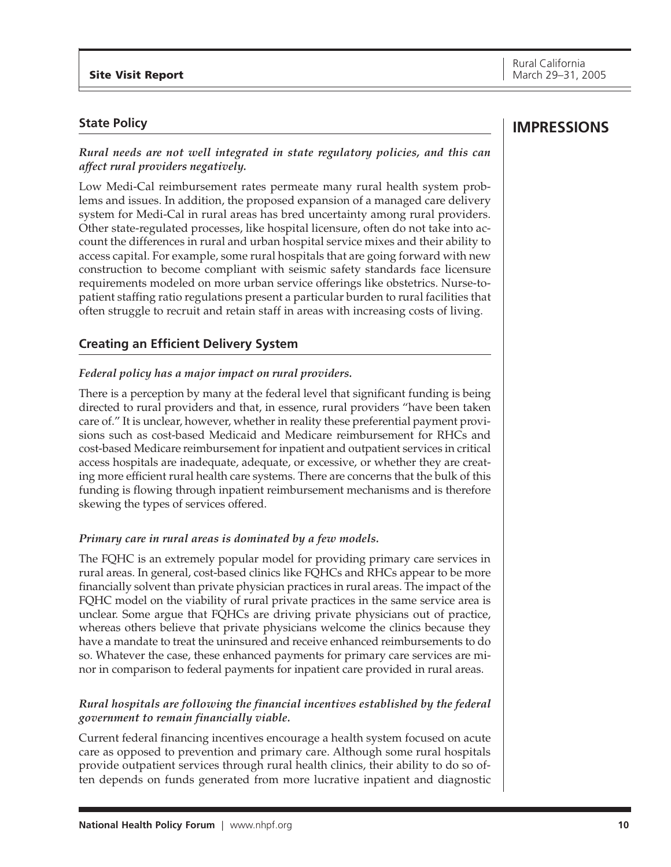## **State Policy**

*Rural needs are not well integrated in state regulatory policies, and this can affect rural providers negatively.*

Low Medi-Cal reimbursement rates permeate many rural health system problems and issues. In addition, the proposed expansion of a managed care delivery system for Medi-Cal in rural areas has bred uncertainty among rural providers. Other state-regulated processes, like hospital licensure, often do not take into account the differences in rural and urban hospital service mixes and their ability to access capital. For example, some rural hospitals that are going forward with new construction to become compliant with seismic safety standards face licensure requirements modeled on more urban service offerings like obstetrics. Nurse-topatient staffing ratio regulations present a particular burden to rural facilities that often struggle to recruit and retain staff in areas with increasing costs of living.

## **Creating an Efficient Delivery System**

## *Federal policy has a major impact on rural providers.*

There is a perception by many at the federal level that significant funding is being directed to rural providers and that, in essence, rural providers "have been taken care of." It is unclear, however, whether in reality these preferential payment provisions such as cost-based Medicaid and Medicare reimbursement for RHCs and cost-based Medicare reimbursement for inpatient and outpatient services in critical access hospitals are inadequate, adequate, or excessive, or whether they are creating more efficient rural health care systems. There are concerns that the bulk of this funding is flowing through inpatient reimbursement mechanisms and is therefore skewing the types of services offered.

## *Primary care in rural areas is dominated by a few models.*

The FQHC is an extremely popular model for providing primary care services in rural areas. In general, cost-based clinics like FQHCs and RHCs appear to be more financially solvent than private physician practices in rural areas. The impact of the FQHC model on the viability of rural private practices in the same service area is unclear. Some argue that FQHCs are driving private physicians out of practice, whereas others believe that private physicians welcome the clinics because they have a mandate to treat the uninsured and receive enhanced reimbursements to do so. Whatever the case, these enhanced payments for primary care services are minor in comparison to federal payments for inpatient care provided in rural areas.

## *Rural hospitals are following the financial incentives established by the federal government to remain financially viable.*

Current federal financing incentives encourage a health system focused on acute care as opposed to prevention and primary care. Although some rural hospitals provide outpatient services through rural health clinics, their ability to do so often depends on funds generated from more lucrative inpatient and diagnostic

## **IMPRESSIONS**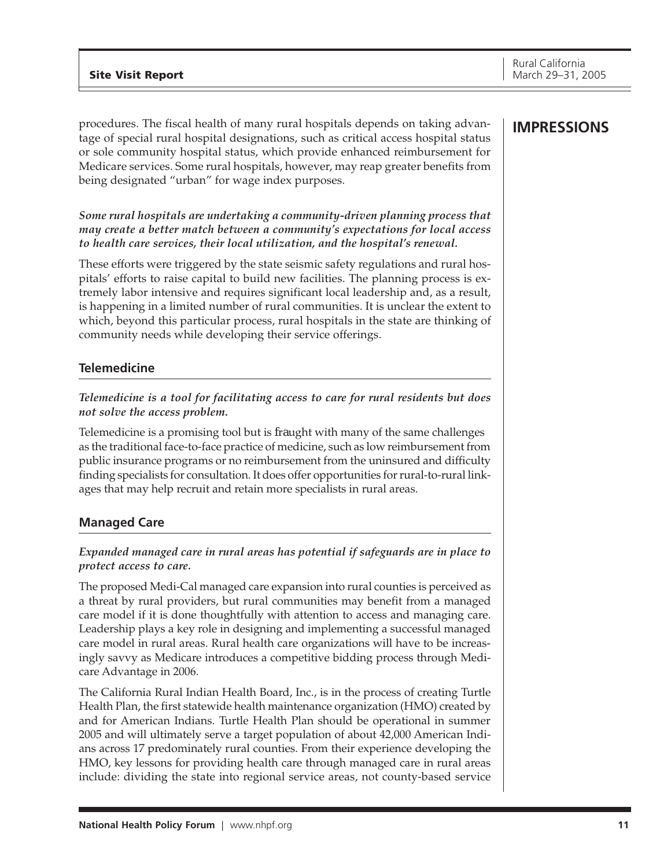procedures. The fiscal health of many rural hospitals depends on taking advantage of special rural hospital designations, such as critical access hospital status or sole community hospital status, which provide enhanced reimbursement for Medicare services. Some rural hospitals, however, may reap greater benefits from being designated "urban" for wage index purposes.

## *Some rural hospitals are undertaking a community-driven planning process that may create a better match between a community's expectations for local access to health care services, their local utilization, and the hospital's renewal.*

These efforts were triggered by the state seismic safety regulations and rural hospitals' efforts to raise capital to build new facilities. The planning process is extremely labor intensive and requires significant local leadership and, as a result, is happening in a limited number of rural communities. It is unclear the extent to which, beyond this particular process, rural hospitals in the state are thinking of community needs while developing their service offerings.

## **Telemedicine**

## *Telemedicine is a tool for facilitating access to care for rural residents but does not solve the access problem.*

Telemedicine is a promising tool but is fraught with many of the same challenges as the traditional face-to-face practice of medicine, such as low reimbursement from public insurance programs or no reimbursement from the uninsured and difficulty finding specialists for consultation. It does offer opportunities for rural-to-rural linkages that may help recruit and retain more specialists in rural areas.

## **Managed Care**

## *Expanded managed care in rural areas has potential if safeguards are in place to protect access to care.*

The proposed Medi-Cal managed care expansion into rural counties is perceived as a threat by rural providers, but rural communities may benefit from a managed care model if it is done thoughtfully with attention to access and managing care. Leadership plays a key role in designing and implementing a successful managed care model in rural areas. Rural health care organizations will have to be increasingly savvy as Medicare introduces a competitive bidding process through Medicare Advantage in 2006.

The California Rural Indian Health Board, Inc., is in the process of creating Turtle Health Plan, the first statewide health maintenance organization (HMO) created by and for American Indians. Turtle Health Plan should be operational in summer 2005 and will ultimately serve a target population of about 42,000 American Indians across 17 predominately rural counties. From their experience developing the HMO, key lessons for providing health care through managed care in rural areas include: dividing the state into regional service areas, not county-based service

## **IMPRESSIONS**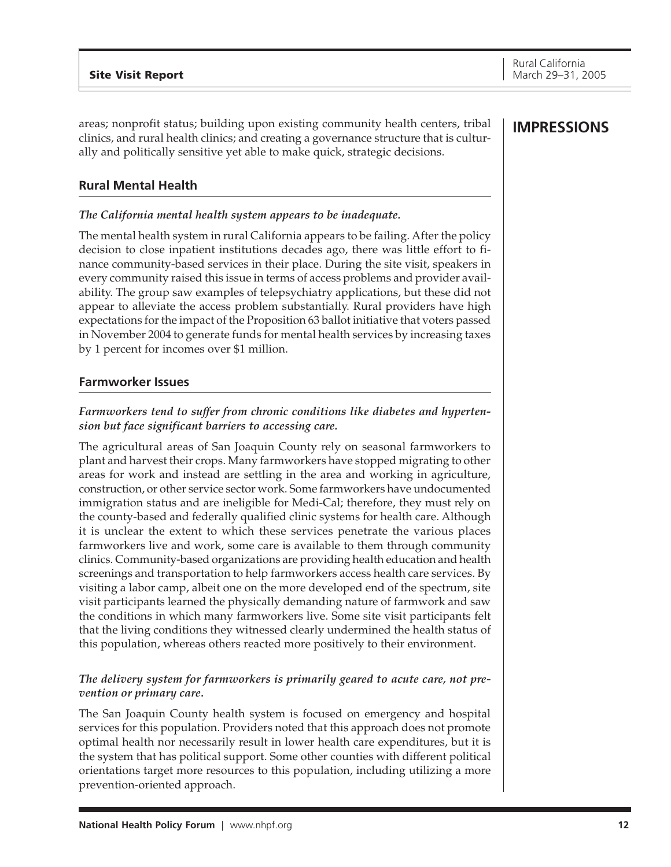areas; nonprofit status; building upon existing community health centers, tribal clinics, and rural health clinics; and creating a governance structure that is culturally and politically sensitive yet able to make quick, strategic decisions.

## **Rural Mental Health**

## *The California mental health system appears to be inadequate.*

The mental health system in rural California appears to be failing. After the policy decision to close inpatient institutions decades ago, there was little effort to finance community-based services in their place. During the site visit, speakers in every community raised this issue in terms of access problems and provider availability. The group saw examples of telepsychiatry applications, but these did not appear to alleviate the access problem substantially. Rural providers have high expectations for the impact of the Proposition 63 ballot initiative that voters passed in November 2004 to generate funds for mental health services by increasing taxes by 1 percent for incomes over \$1 million.

## **Farmworker Issues**

## *Farmworkers tend to suffer from chronic conditions like diabetes and hypertension but face significant barriers to accessing care.*

The agricultural areas of San Joaquin County rely on seasonal farmworkers to plant and harvest their crops. Many farmworkers have stopped migrating to other areas for work and instead are settling in the area and working in agriculture, construction, or other service sector work. Some farmworkers have undocumented immigration status and are ineligible for Medi-Cal; therefore, they must rely on the county-based and federally qualified clinic systems for health care. Although it is unclear the extent to which these services penetrate the various places farmworkers live and work, some care is available to them through community clinics. Community-based organizations are providing health education and health screenings and transportation to help farmworkers access health care services. By visiting a labor camp, albeit one on the more developed end of the spectrum, site visit participants learned the physically demanding nature of farmwork and saw the conditions in which many farmworkers live. Some site visit participants felt that the living conditions they witnessed clearly undermined the health status of this population, whereas others reacted more positively to their environment.

## *The delivery system for farmworkers is primarily geared to acute care, not prevention or primary care.*

The San Joaquin County health system is focused on emergency and hospital services for this population. Providers noted that this approach does not promote optimal health nor necessarily result in lower health care expenditures, but it is the system that has political support. Some other counties with different political orientations target more resources to this population, including utilizing a more prevention-oriented approach.

## **IMPRESSIONS**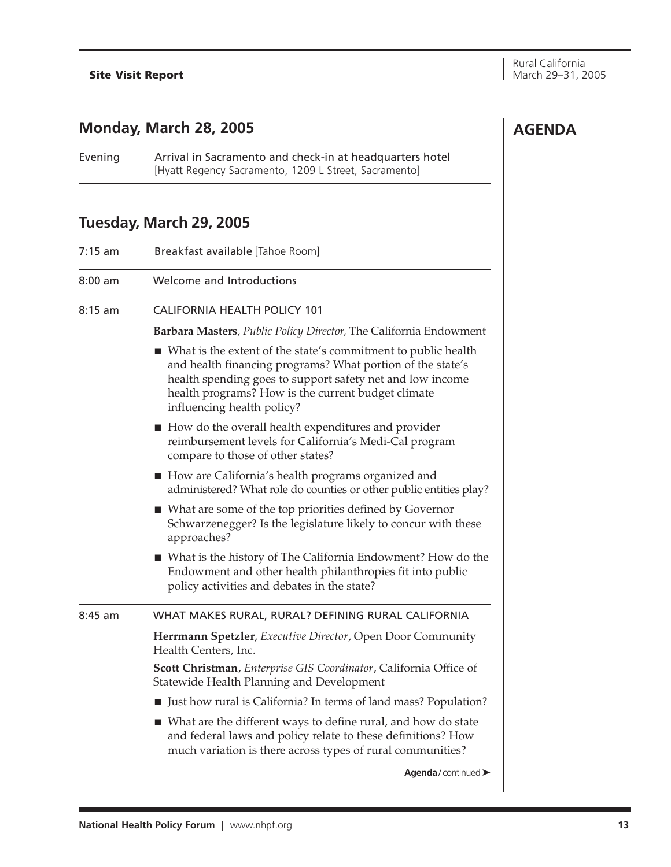## <span id="page-12-0"></span>**Monday, March 28, 2005**

Evening Arrival in Sacramento and check-in at headquarters hotel [Hyatt Regency Sacramento, 1209 L Street, Sacramento]

## **Tuesday, March 29, 2005**

| 7:15 am | Breakfast available [Tahoe Room]                                                                                                                                                                                                                                               |
|---------|--------------------------------------------------------------------------------------------------------------------------------------------------------------------------------------------------------------------------------------------------------------------------------|
| 8:00 am | Welcome and Introductions                                                                                                                                                                                                                                                      |
| 8:15 am | CALIFORNIA HEALTH POLICY 101                                                                                                                                                                                                                                                   |
|         | Barbara Masters, Public Policy Director, The California Endowment                                                                                                                                                                                                              |
|         | ■ What is the extent of the state's commitment to public health<br>and health financing programs? What portion of the state's<br>health spending goes to support safety net and low income<br>health programs? How is the current budget climate<br>influencing health policy? |
|         | ■ How do the overall health expenditures and provider<br>reimbursement levels for California's Medi-Cal program<br>compare to those of other states?                                                                                                                           |
|         | How are California's health programs organized and<br>administered? What role do counties or other public entities play?                                                                                                                                                       |
|         | $\blacksquare$ What are some of the top priorities defined by Governor<br>Schwarzenegger? Is the legislature likely to concur with these<br>approaches?                                                                                                                        |
|         | ■ What is the history of The California Endowment? How do the<br>Endowment and other health philanthropies fit into public<br>policy activities and debates in the state?                                                                                                      |
| 8:45 am | WHAT MAKES RURAL, RURAL? DEFINING RURAL CALIFORNIA                                                                                                                                                                                                                             |
|         | Herrmann Spetzler, Executive Director, Open Door Community<br>Health Centers, Inc.                                                                                                                                                                                             |
|         | Scott Christman, Enterprise GIS Coordinator, California Office of<br>Statewide Health Planning and Development                                                                                                                                                                 |
|         | I Just how rural is California? In terms of land mass? Population?                                                                                                                                                                                                             |
|         | ■ What are the different ways to define rural, and how do state<br>and federal laws and policy relate to these definitions? How<br>much variation is there across types of rural communities?                                                                                  |
|         | Agenda/continued >                                                                                                                                                                                                                                                             |
|         |                                                                                                                                                                                                                                                                                |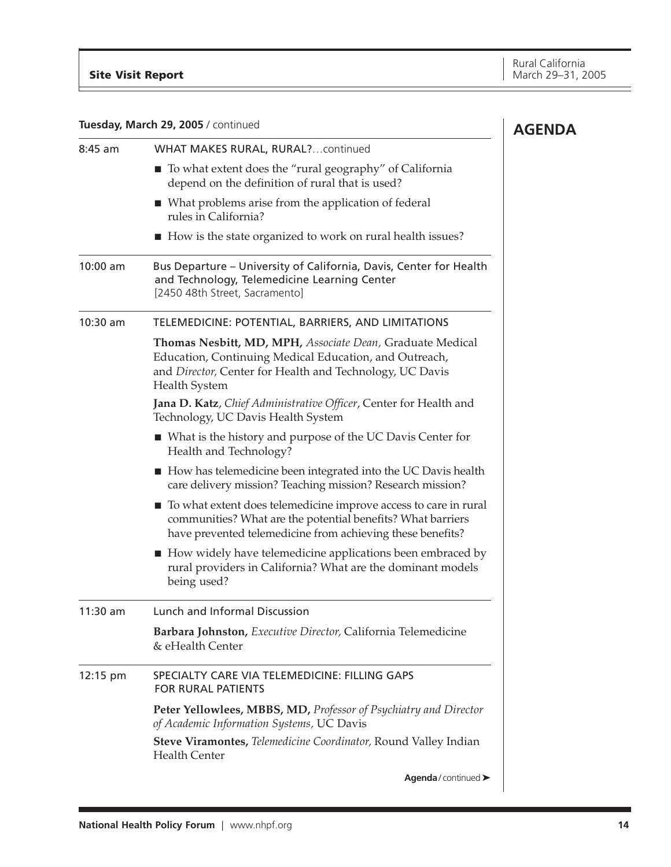|  |  |  |  | Tuesday, March 29, 2005 / continued |
|--|--|--|--|-------------------------------------|
|--|--|--|--|-------------------------------------|

| Tuesday, March 29, 2005 / continued |                                                                                                                                                                                                         | <b>AGENDA</b> |
|-------------------------------------|---------------------------------------------------------------------------------------------------------------------------------------------------------------------------------------------------------|---------------|
| $8:45$ am                           | WHAT MAKES RURAL, RURAL? continued                                                                                                                                                                      |               |
|                                     | ■ To what extent does the "rural geography" of California<br>depend on the definition of rural that is used?                                                                                            |               |
|                                     | ■ What problems arise from the application of federal<br>rules in California?                                                                                                                           |               |
|                                     | How is the state organized to work on rural health issues?                                                                                                                                              |               |
| 10:00 am                            | Bus Departure - University of California, Davis, Center for Health<br>and Technology, Telemedicine Learning Center<br>[2450 48th Street, Sacramento]                                                    |               |
| 10:30 am                            | TELEMEDICINE: POTENTIAL, BARRIERS, AND LIMITATIONS                                                                                                                                                      |               |
|                                     | Thomas Nesbitt, MD, MPH, Associate Dean, Graduate Medical<br>Education, Continuing Medical Education, and Outreach,<br>and Director, Center for Health and Technology, UC Davis<br><b>Health System</b> |               |
|                                     | Jana D. Katz, Chief Administrative Officer, Center for Health and<br>Technology, UC Davis Health System                                                                                                 |               |
|                                     | ■ What is the history and purpose of the UC Davis Center for<br>Health and Technology?                                                                                                                  |               |
|                                     | How has telemedicine been integrated into the UC Davis health<br>care delivery mission? Teaching mission? Research mission?                                                                             |               |
|                                     | To what extent does telemedicine improve access to care in rural<br>communities? What are the potential benefits? What barriers<br>have prevented telemedicine from achieving these benefits?           |               |
|                                     | ■ How widely have telemedicine applications been embraced by<br>rural providers in California? What are the dominant models<br>being used?                                                              |               |
| 11:30 am                            | Lunch and Informal Discussion                                                                                                                                                                           |               |
|                                     | Barbara Johnston, Executive Director, California Telemedicine<br>& eHealth Center                                                                                                                       |               |
| 12:15 pm                            | SPECIALTY CARE VIA TELEMEDICINE: FILLING GAPS<br>FOR RURAL PATIENTS                                                                                                                                     |               |
|                                     | Peter Yellowlees, MBBS, MD, Professor of Psychiatry and Director<br>of Academic Information Systems, UC Davis                                                                                           |               |
|                                     | Steve Viramontes, Telemedicine Coordinator, Round Valley Indian<br><b>Health Center</b>                                                                                                                 |               |
|                                     | Agenda/continued >                                                                                                                                                                                      |               |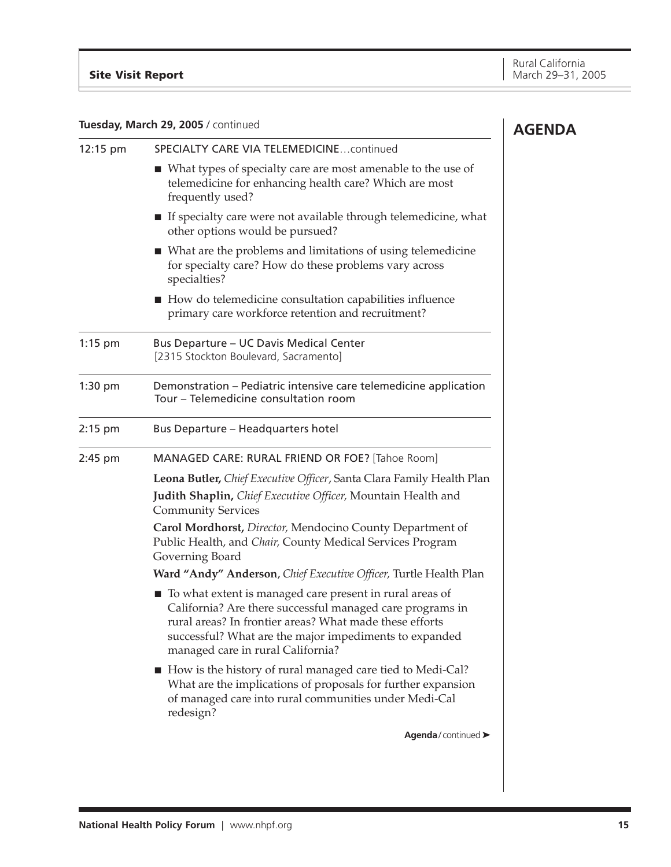| Tuesday, March 29, 2005 / continued |                                                                                                                                                                                                                                                                                   | <b>AGENDA</b> |
|-------------------------------------|-----------------------------------------------------------------------------------------------------------------------------------------------------------------------------------------------------------------------------------------------------------------------------------|---------------|
| 12:15 pm                            | SPECIALTY CARE VIA TELEMEDICINE continued                                                                                                                                                                                                                                         |               |
|                                     | ■ What types of specialty care are most amenable to the use of<br>telemedicine for enhancing health care? Which are most<br>frequently used?                                                                                                                                      |               |
|                                     | If specialty care were not available through telemedicine, what<br>other options would be pursued?                                                                                                                                                                                |               |
|                                     | ■ What are the problems and limitations of using telemedicine<br>for specialty care? How do these problems vary across<br>specialties?                                                                                                                                            |               |
|                                     | ■ How do telemedicine consultation capabilities influence<br>primary care workforce retention and recruitment?                                                                                                                                                                    |               |
| $1:15$ pm                           | <b>Bus Departure - UC Davis Medical Center</b><br>[2315 Stockton Boulevard, Sacramento]                                                                                                                                                                                           |               |
| $1:30$ pm                           | Demonstration - Pediatric intensive care telemedicine application<br>Tour – Telemedicine consultation room                                                                                                                                                                        |               |
| $2:15$ pm                           | <b>Bus Departure - Headquarters hotel</b>                                                                                                                                                                                                                                         |               |
| 2:45 pm                             | MANAGED CARE: RURAL FRIEND OR FOE? [Tahoe Room]                                                                                                                                                                                                                                   |               |
|                                     | Leona Butler, Chief Executive Officer, Santa Clara Family Health Plan                                                                                                                                                                                                             |               |
|                                     | Judith Shaplin, Chief Executive Officer, Mountain Health and<br><b>Community Services</b>                                                                                                                                                                                         |               |
|                                     | Carol Mordhorst, Director, Mendocino County Department of<br>Public Health, and Chair, County Medical Services Program<br>Governing Board                                                                                                                                         |               |
|                                     | Ward "Andy" Anderson, Chief Executive Officer, Turtle Health Plan                                                                                                                                                                                                                 |               |
|                                     | ■ To what extent is managed care present in rural areas of<br>California? Are there successful managed care programs in<br>rural areas? In frontier areas? What made these efforts<br>successful? What are the major impediments to expanded<br>managed care in rural California? |               |
|                                     | ■ How is the history of rural managed care tied to Medi-Cal?<br>What are the implications of proposals for further expansion<br>of managed care into rural communities under Medi-Cal<br>redesign?                                                                                |               |
|                                     | Agenda/continued >                                                                                                                                                                                                                                                                |               |
|                                     |                                                                                                                                                                                                                                                                                   |               |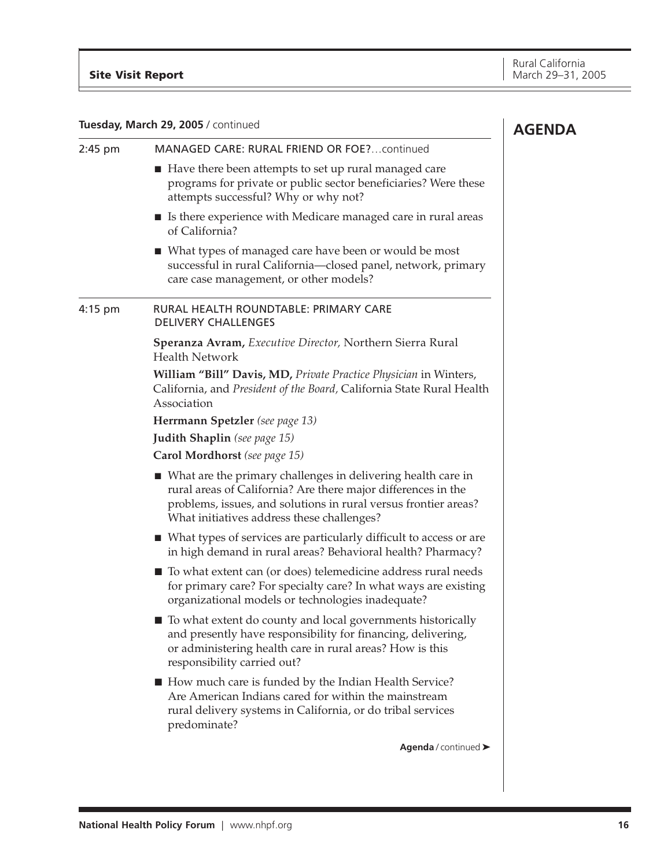## **Tuesday, March 29, 2005** / continued

| Tuesday, March 29, 2005 / continued |                                                                                                                                                                                                                                                  | <b>AGENDA</b> |
|-------------------------------------|--------------------------------------------------------------------------------------------------------------------------------------------------------------------------------------------------------------------------------------------------|---------------|
| 2:45 pm                             | MANAGED CARE: RURAL FRIEND OR FOE? continued                                                                                                                                                                                                     |               |
|                                     | ■ Have there been attempts to set up rural managed care<br>programs for private or public sector beneficiaries? Were these<br>attempts successful? Why or why not?                                                                               |               |
|                                     | ■ Is there experience with Medicare managed care in rural areas<br>of California?                                                                                                                                                                |               |
|                                     | ■ What types of managed care have been or would be most<br>successful in rural California-closed panel, network, primary<br>care case management, or other models?                                                                               |               |
| $4:15$ pm                           | RURAL HEALTH ROUNDTABLE: PRIMARY CARE<br><b>DELIVERY CHALLENGES</b>                                                                                                                                                                              |               |
|                                     | Speranza Avram, Executive Director, Northern Sierra Rural<br><b>Health Network</b>                                                                                                                                                               |               |
|                                     | William "Bill" Davis, MD, Private Practice Physician in Winters,<br>California, and President of the Board, California State Rural Health<br>Association                                                                                         |               |
|                                     | Herrmann Spetzler (see page 13)                                                                                                                                                                                                                  |               |
|                                     | Judith Shaplin (see page 15)                                                                                                                                                                                                                     |               |
|                                     | Carol Mordhorst (see page 15)                                                                                                                                                                                                                    |               |
|                                     | ■ What are the primary challenges in delivering health care in<br>rural areas of California? Are there major differences in the<br>problems, issues, and solutions in rural versus frontier areas?<br>What initiatives address these challenges? |               |
|                                     | ■ What types of services are particularly difficult to access or are<br>in high demand in rural areas? Behavioral health? Pharmacy?                                                                                                              |               |
|                                     | ■ To what extent can (or does) telemedicine address rural needs<br>for primary care? For specialty care? In what ways are existing<br>organizational models or technologies inadequate?                                                          |               |
|                                     | ■ To what extent do county and local governments historically<br>and presently have responsibility for financing, delivering,<br>or administering health care in rural areas? How is this<br>responsibility carried out?                         |               |
|                                     | ■ How much care is funded by the Indian Health Service?<br>Are American Indians cared for within the mainstream<br>rural delivery systems in California, or do tribal services<br>predominate?                                                   |               |
|                                     | Agenda / continued >                                                                                                                                                                                                                             |               |
|                                     |                                                                                                                                                                                                                                                  |               |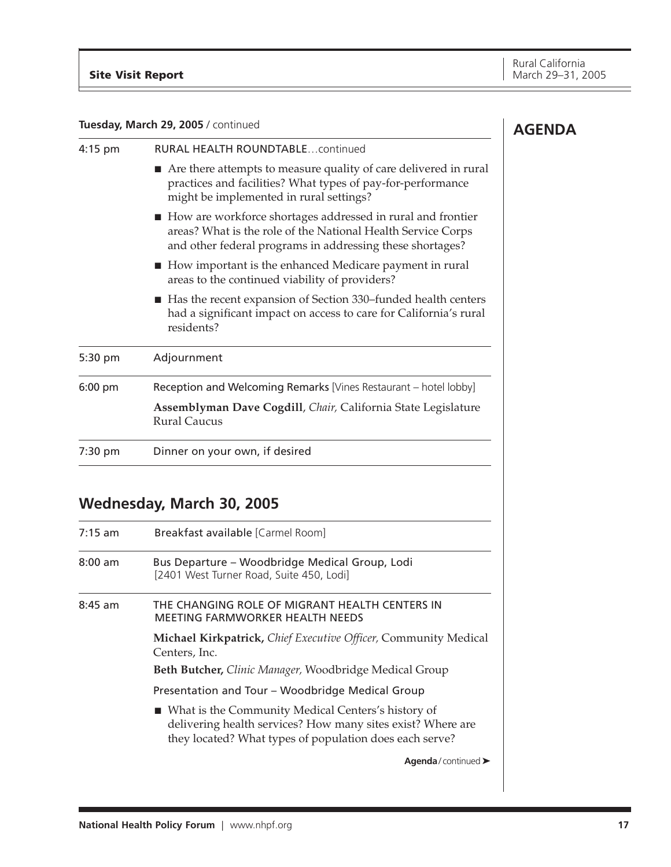## **Tuesday, March 29, 2005** / continued

| 4:15 pm   | <b>RURAL HEALTH ROUNDTABLEcontinued</b>                                                                                                                                                  |
|-----------|------------------------------------------------------------------------------------------------------------------------------------------------------------------------------------------|
|           | Are there attempts to measure quality of care delivered in rural<br>practices and facilities? What types of pay-for-performance<br>might be implemented in rural settings?               |
|           | How are workforce shortages addressed in rural and frontier<br>areas? What is the role of the National Health Service Corps<br>and other federal programs in addressing these shortages? |
|           | $\blacksquare$ How important is the enhanced Medicare payment in rural<br>areas to the continued viability of providers?                                                                 |
|           | ■ Has the recent expansion of Section 330–funded health centers<br>had a significant impact on access to care for California's rural<br>residents?                                       |
| 5:30 pm   | Adjournment                                                                                                                                                                              |
| $6:00$ pm | Reception and Welcoming Remarks [Vines Restaurant – hotel lobby]                                                                                                                         |
|           | Assemblyman Dave Cogdill, Chair, California State Legislature<br><b>Rural Caucus</b>                                                                                                     |
| 7:30 pm   | Dinner on your own, if desired                                                                                                                                                           |

## **Wednesday, March 30, 2005**

| $7:15$ am | Breakfast available [Carmel Room]                                                                                                                                              |
|-----------|--------------------------------------------------------------------------------------------------------------------------------------------------------------------------------|
| $8:00$ am | Bus Departure – Woodbridge Medical Group, Lodi<br>[2401 West Turner Road, Suite 450, Lodi]                                                                                     |
| $8:45$ am | THE CHANGING ROLE OF MIGRANT HEALTH CENTERS IN<br>MEETING FARMWORKER HEALTH NEEDS                                                                                              |
|           | Michael Kirkpatrick, Chief Executive Officer, Community Medical<br>Centers, Inc.                                                                                               |
|           | Beth Butcher, Clinic Manager, Woodbridge Medical Group                                                                                                                         |
|           | Presentation and Tour - Woodbridge Medical Group                                                                                                                               |
|           | ■ What is the Community Medical Centers's history of<br>delivering health services? How many sites exist? Where are<br>they located? What types of population does each serve? |
|           | Agenda/continued $\blacktriangleright$                                                                                                                                         |

## **AGENDA**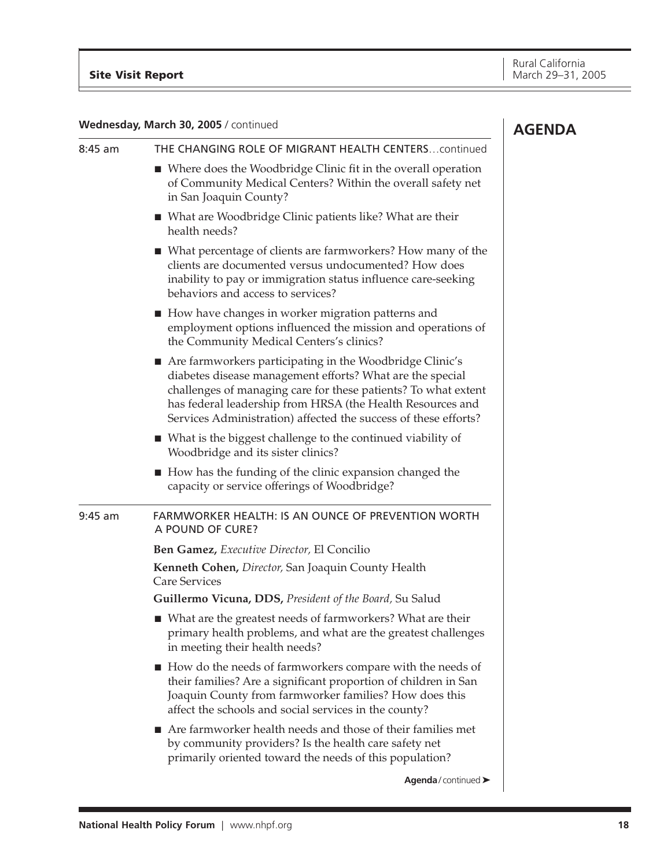## **Wednesday, March 30, 2005** / continued

|           | Wednesday, March 30, 2005 / continued                                                                                                                                                                                                                                                                                    | <b>AGENDA</b> |
|-----------|--------------------------------------------------------------------------------------------------------------------------------------------------------------------------------------------------------------------------------------------------------------------------------------------------------------------------|---------------|
| $8:45$ am | THE CHANGING ROLE OF MIGRANT HEALTH CENTERScontinued                                                                                                                                                                                                                                                                     |               |
|           | ■ Where does the Woodbridge Clinic fit in the overall operation<br>of Community Medical Centers? Within the overall safety net<br>in San Joaquin County?                                                                                                                                                                 |               |
|           | ■ What are Woodbridge Clinic patients like? What are their<br>health needs?                                                                                                                                                                                                                                              |               |
|           | ■ What percentage of clients are farmworkers? How many of the<br>clients are documented versus undocumented? How does<br>inability to pay or immigration status influence care-seeking<br>behaviors and access to services?                                                                                              |               |
|           | ■ How have changes in worker migration patterns and<br>employment options influenced the mission and operations of<br>the Community Medical Centers's clinics?                                                                                                                                                           |               |
|           | Are farmworkers participating in the Woodbridge Clinic's<br>diabetes disease management efforts? What are the special<br>challenges of managing care for these patients? To what extent<br>has federal leadership from HRSA (the Health Resources and<br>Services Administration) affected the success of these efforts? |               |
|           | ■ What is the biggest challenge to the continued viability of<br>Woodbridge and its sister clinics?                                                                                                                                                                                                                      |               |
|           | ■ How has the funding of the clinic expansion changed the<br>capacity or service offerings of Woodbridge?                                                                                                                                                                                                                |               |
| $9:45$ am | FARMWORKER HEALTH: IS AN OUNCE OF PREVENTION WORTH<br>A POUND OF CURE?                                                                                                                                                                                                                                                   |               |
|           | Ben Gamez, Executive Director, El Concilio                                                                                                                                                                                                                                                                               |               |
|           | Kenneth Cohen, Director, San Joaquin County Health<br><b>Care Services</b>                                                                                                                                                                                                                                               |               |
|           | Guillermo Vicuna, DDS, President of the Board, Su Salud                                                                                                                                                                                                                                                                  |               |
|           | ■ What are the greatest needs of farmworkers? What are their<br>primary health problems, and what are the greatest challenges<br>in meeting their health needs?                                                                                                                                                          |               |
|           | How do the needs of farmworkers compare with the needs of<br>their families? Are a significant proportion of children in San<br>Joaquin County from farmworker families? How does this<br>affect the schools and social services in the county?                                                                          |               |
|           | ■ Are farmworker health needs and those of their families met<br>by community providers? Is the health care safety net<br>primarily oriented toward the needs of this population?                                                                                                                                        |               |
|           | Agenda/continued >                                                                                                                                                                                                                                                                                                       |               |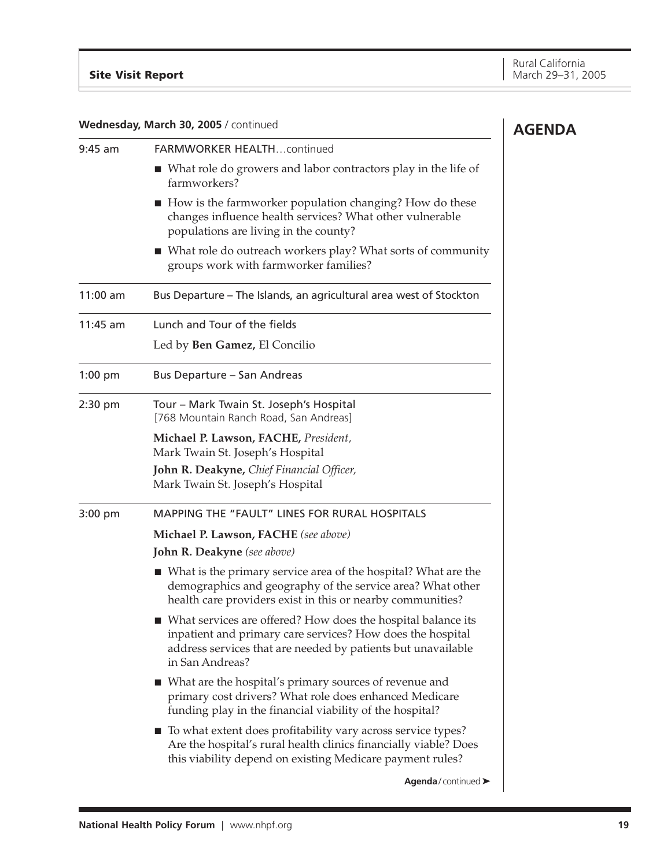**AGENDA Wednesday, March 30, 2005** / continued 9:45 am FARMWORKER HEALTH…continued ■ What role do growers and labor contractors play in the life of farmworkers? ■ How is the farmworker population changing? How do these changes influence health services? What other vulnerable populations are living in the county? ■ What role do outreach workers play? What sorts of community groups work with farmworker families? 11:00 am Bus Departure – The Islands, an agricultural area west of Stockton 11:45 am Lunch and Tour of the fields Led by **Ben Gamez,** El Concilio 1:00 pm Bus Departure – San Andreas 2:30 pm Tour – Mark Twain St. Joseph's Hospital [768 Mountain Ranch Road, San Andreas] **Michael P. Lawson, FACHE,** *President,* Mark Twain St. Joseph's Hospital **John R. Deakyne,** *Chief Financial Officer,* Mark Twain St. Joseph's Hospital 3:00 pm MAPPING THE "FAULT" LINES FOR RURAL HOSPITALS **Michael P. Lawson, FACHE** *(see above)* **John R. Deakyne** *(see above)* ■ What is the primary service area of the hospital? What are the demographics and geography of the service area? What other health care providers exist in this or nearby communities? ■ What services are offered? How does the hospital balance its inpatient and primary care services? How does the hospital address services that are needed by patients but unavailable in San Andreas? ■ What are the hospital's primary sources of revenue and primary cost drivers? What role does enhanced Medicare funding play in the financial viability of the hospital? ■ To what extent does profitability vary across service types? Are the hospital's rural health clinics financially viable? Does this viability depend on existing Medicare payment rules? **Agenda** / continued ➤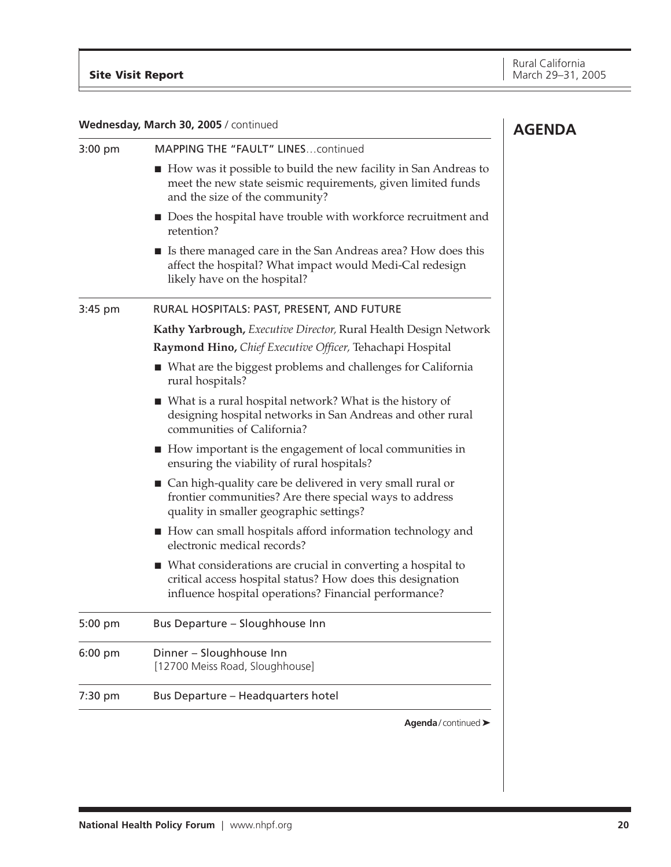| Wednesday, March 30, 2005 / continued<br><b>AGENDA</b> |                                                                                                                                                                                      |  |
|--------------------------------------------------------|--------------------------------------------------------------------------------------------------------------------------------------------------------------------------------------|--|
| $3:00$ pm                                              | MAPPING THE "FAULT" LINEScontinued                                                                                                                                                   |  |
|                                                        | How was it possible to build the new facility in San Andreas to<br>meet the new state seismic requirements, given limited funds<br>and the size of the community?                    |  |
|                                                        | ■ Does the hospital have trouble with workforce recruitment and<br>retention?                                                                                                        |  |
|                                                        | ■ Is there managed care in the San Andreas area? How does this<br>affect the hospital? What impact would Medi-Cal redesign<br>likely have on the hospital?                           |  |
| 3:45 pm                                                | RURAL HOSPITALS: PAST, PRESENT, AND FUTURE                                                                                                                                           |  |
|                                                        | Kathy Yarbrough, Executive Director, Rural Health Design Network                                                                                                                     |  |
|                                                        | Raymond Hino, Chief Executive Officer, Tehachapi Hospital                                                                                                                            |  |
|                                                        | ■ What are the biggest problems and challenges for California<br>rural hospitals?                                                                                                    |  |
|                                                        | $\blacksquare$ What is a rural hospital network? What is the history of<br>designing hospital networks in San Andreas and other rural<br>communities of California?                  |  |
|                                                        | $\blacksquare$ How important is the engagement of local communities in<br>ensuring the viability of rural hospitals?                                                                 |  |
|                                                        | Can high-quality care be delivered in very small rural or<br>frontier communities? Are there special ways to address<br>quality in smaller geographic settings?                      |  |
|                                                        | ■ How can small hospitals afford information technology and<br>electronic medical records?                                                                                           |  |
|                                                        | ■ What considerations are crucial in converting a hospital to<br>critical access hospital status? How does this designation<br>influence hospital operations? Financial performance? |  |
| 5:00 pm                                                | Bus Departure - Sloughhouse Inn                                                                                                                                                      |  |
| $6:00$ pm                                              | Dinner - Sloughhouse Inn<br>[12700 Meiss Road, Sloughhouse]                                                                                                                          |  |
| 7:30 pm                                                | Bus Departure - Headquarters hotel                                                                                                                                                   |  |
|                                                        | Agenda/continued >                                                                                                                                                                   |  |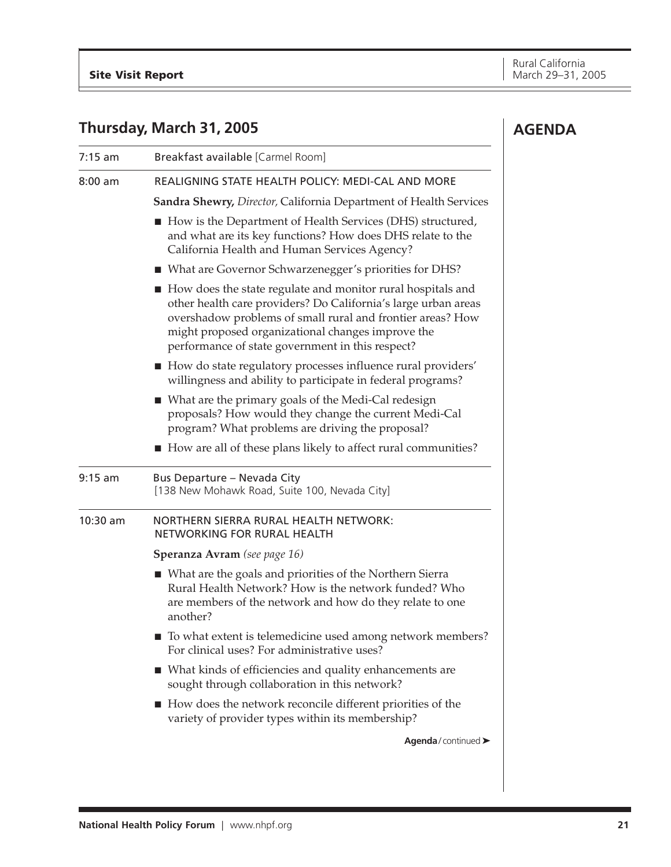**AGENDA**

## **Thursday, March 31, 2005**

| 7:15 am  | Breakfast available [Carmel Room]                                                                                                                                                                                                                                                                      |
|----------|--------------------------------------------------------------------------------------------------------------------------------------------------------------------------------------------------------------------------------------------------------------------------------------------------------|
| 8:00 am  | REALIGNING STATE HEALTH POLICY: MEDI-CAL AND MORE                                                                                                                                                                                                                                                      |
|          | <b>Sandra Shewry, Director, California Department of Health Services</b>                                                                                                                                                                                                                               |
|          | ■ How is the Department of Health Services (DHS) structured,<br>and what are its key functions? How does DHS relate to the<br>California Health and Human Services Agency?                                                                                                                             |
|          | ■ What are Governor Schwarzenegger's priorities for DHS?                                                                                                                                                                                                                                               |
|          | ■ How does the state regulate and monitor rural hospitals and<br>other health care providers? Do California's large urban areas<br>overshadow problems of small rural and frontier areas? How<br>might proposed organizational changes improve the<br>performance of state government in this respect? |
|          | How do state regulatory processes influence rural providers'<br>willingness and ability to participate in federal programs?                                                                                                                                                                            |
|          | ■ What are the primary goals of the Medi-Cal redesign<br>proposals? How would they change the current Medi-Cal<br>program? What problems are driving the proposal?                                                                                                                                     |
|          | ■ How are all of these plans likely to affect rural communities?                                                                                                                                                                                                                                       |
| 9:15 am  | Bus Departure - Nevada City<br>[138 New Mohawk Road, Suite 100, Nevada City]                                                                                                                                                                                                                           |
| 10:30 am | NORTHERN SIERRA RURAL HEALTH NETWORK:<br>NETWORKING FOR RURAL HEALTH                                                                                                                                                                                                                                   |
|          | <b>Speranza Avram</b> (see page 16)                                                                                                                                                                                                                                                                    |
|          | ■ What are the goals and priorities of the Northern Sierra<br>Rural Health Network? How is the network funded? Who<br>are members of the network and how do they relate to one<br>another?                                                                                                             |
|          | ■ To what extent is telemedicine used among network members?<br>For clinical uses? For administrative uses?                                                                                                                                                                                            |
|          | ■ What kinds of efficiencies and quality enhancements are<br>sought through collaboration in this network?                                                                                                                                                                                             |
|          | ■ How does the network reconcile different priorities of the<br>variety of provider types within its membership?                                                                                                                                                                                       |
|          | Agenda/continued >                                                                                                                                                                                                                                                                                     |
|          |                                                                                                                                                                                                                                                                                                        |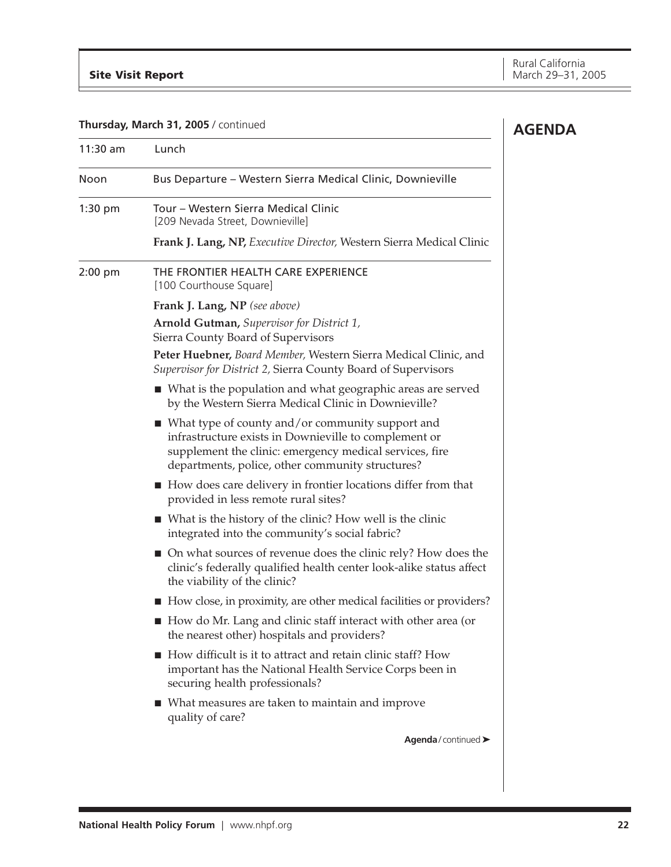**AGENDA**

## **Thursday, March 31, 2005** / continued

| $11:30$ am | Lunch                                                                                                                                                                                                                                   |
|------------|-----------------------------------------------------------------------------------------------------------------------------------------------------------------------------------------------------------------------------------------|
| Noon       | Bus Departure - Western Sierra Medical Clinic, Downieville                                                                                                                                                                              |
| $1:30$ pm  | Tour - Western Sierra Medical Clinic<br>[209 Nevada Street, Downieville]                                                                                                                                                                |
|            | Frank J. Lang, NP, Executive Director, Western Sierra Medical Clinic                                                                                                                                                                    |
| $2:00$ pm  | THE FRONTIER HEALTH CARE EXPERIENCE<br>[100 Courthouse Square]                                                                                                                                                                          |
|            | Frank J. Lang, NP (see above)                                                                                                                                                                                                           |
|            | Arnold Gutman, Supervisor for District 1,<br>Sierra County Board of Supervisors                                                                                                                                                         |
|            | Peter Huebner, Board Member, Western Sierra Medical Clinic, and<br>Supervisor for District 2, Sierra County Board of Supervisors                                                                                                        |
|            | ■ What is the population and what geographic areas are served<br>by the Western Sierra Medical Clinic in Downieville?                                                                                                                   |
|            | $\blacksquare$ What type of county and/or community support and<br>infrastructure exists in Downieville to complement or<br>supplement the clinic: emergency medical services, fire<br>departments, police, other community structures? |
|            | ■ How does care delivery in frontier locations differ from that<br>provided in less remote rural sites?                                                                                                                                 |
|            | $\blacksquare$ What is the history of the clinic? How well is the clinic<br>integrated into the community's social fabric?                                                                                                              |
|            | • On what sources of revenue does the clinic rely? How does the<br>clinic's federally qualified health center look-alike status affect<br>the viability of the clinic?                                                                  |
|            | How close, in proximity, are other medical facilities or providers?                                                                                                                                                                     |
|            | How do Mr. Lang and clinic staff interact with other area (or<br>the nearest other) hospitals and providers?                                                                                                                            |
|            | How difficult is it to attract and retain clinic staff? How<br>important has the National Health Service Corps been in<br>securing health professionals?                                                                                |
|            | ■ What measures are taken to maintain and improve<br>quality of care?                                                                                                                                                                   |
|            | Agenda/continued >                                                                                                                                                                                                                      |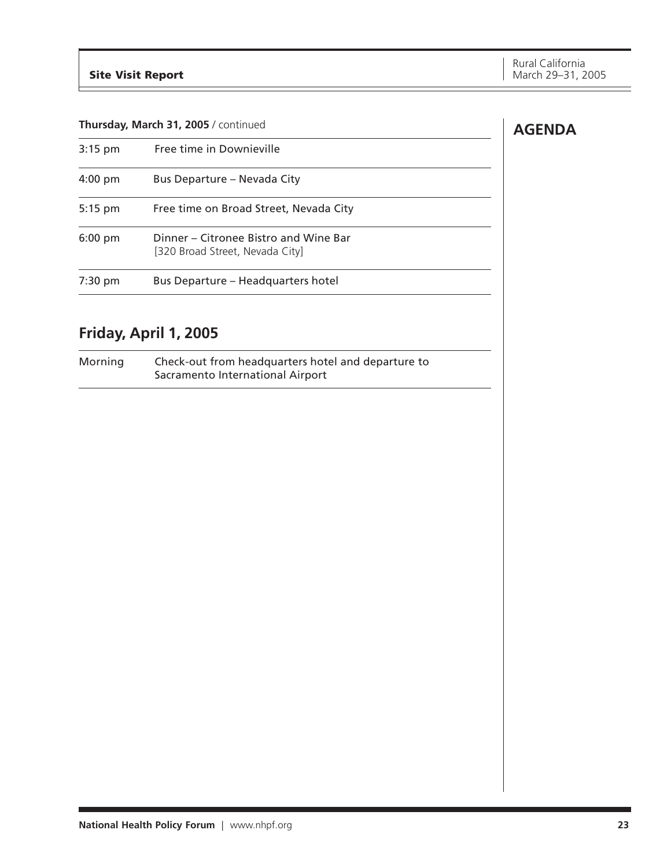## **Thursday, March 31, 2005** / continued

| $3:15$ pm         | Free time in Downieville                                                 |
|-------------------|--------------------------------------------------------------------------|
| $4:00 \text{ pm}$ | Bus Departure - Nevada City                                              |
| $5:15$ pm         | Free time on Broad Street, Nevada City                                   |
| $6:00$ pm         | Dinner – Citronee Bistro and Wine Bar<br>[320 Broad Street, Nevada City] |
| $7:30$ pm         | Bus Departure - Headquarters hotel                                       |

## **Friday, April 1, 2005**

Morning Check-out from headquarters hotel and departure to Sacramento International Airport

## **AGENDA**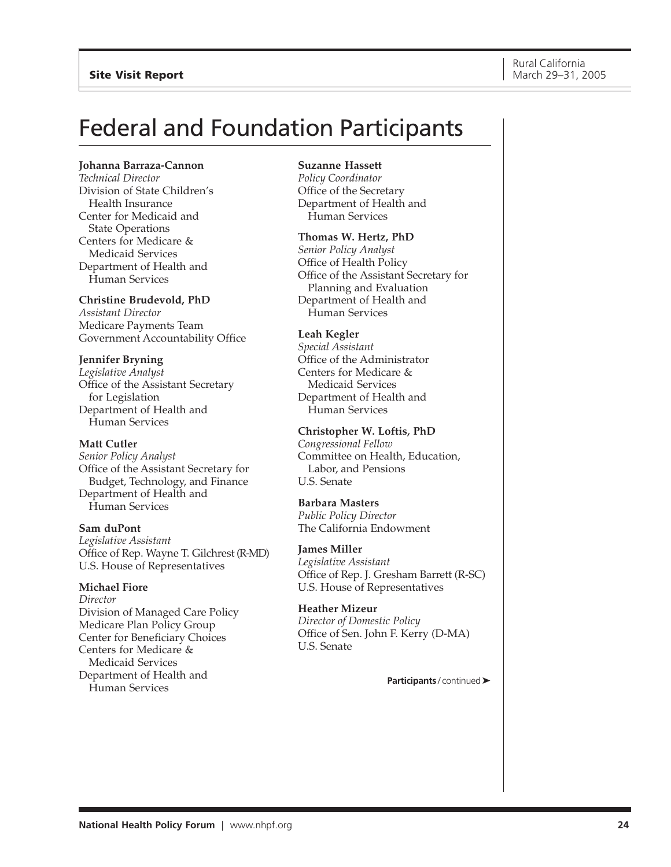# <span id="page-23-0"></span>Federal and Foundation Participants

#### **Johanna Barraza-Cannon**

*Technical Director* Division of State Children's Health Insurance Center for Medicaid and State Operations Centers for Medicare & Medicaid Services Department of Health and Human Services

#### **Christine Brudevold, PhD**

*Assistant Director* Medicare Payments Team Government Accountability Office

## **Jennifer Bryning**

*Legislative Analyst* Office of the Assistant Secretary for Legislation Department of Health and Human Services

#### **Matt Cutler**

*Senior Policy Analyst* Office of the Assistant Secretary for Budget, Technology, and Finance Department of Health and Human Services

## **Sam duPont**

*Legislative Assistant* Office of Rep. Wayne T. Gilchrest (R-MD) U.S. House of Representatives

## **Michael Fiore**

*Director* Division of Managed Care Policy Medicare Plan Policy Group Center for Beneficiary Choices Centers for Medicare & Medicaid Services Department of Health and Human Services

#### **Suzanne Hassett**

*Policy Coordinator* Office of the Secretary Department of Health and Human Services

#### **Thomas W. Hertz, PhD**

*Senior Policy Analyst* Office of Health Policy Office of the Assistant Secretary for Planning and Evaluation Department of Health and Human Services

## **Leah Kegler**

*Special Assistant* Office of the Administrator Centers for Medicare & Medicaid Services Department of Health and Human Services

## **Christopher W. Loftis, PhD**

*Congressional Fellow* Committee on Health, Education, Labor, and Pensions U.S. Senate

## **Barbara Masters**

*Public Policy Director* The California Endowment

## **James Miller**

*Legislative Assistant* Office of Rep. J. Gresham Barrett (R-SC) U.S. House of Representatives

## **Heather Mizeur** *Director of Domestic Policy* Office of Sen. John F. Kerry (D-MA) U.S. Senate

**Participants** / continued ➤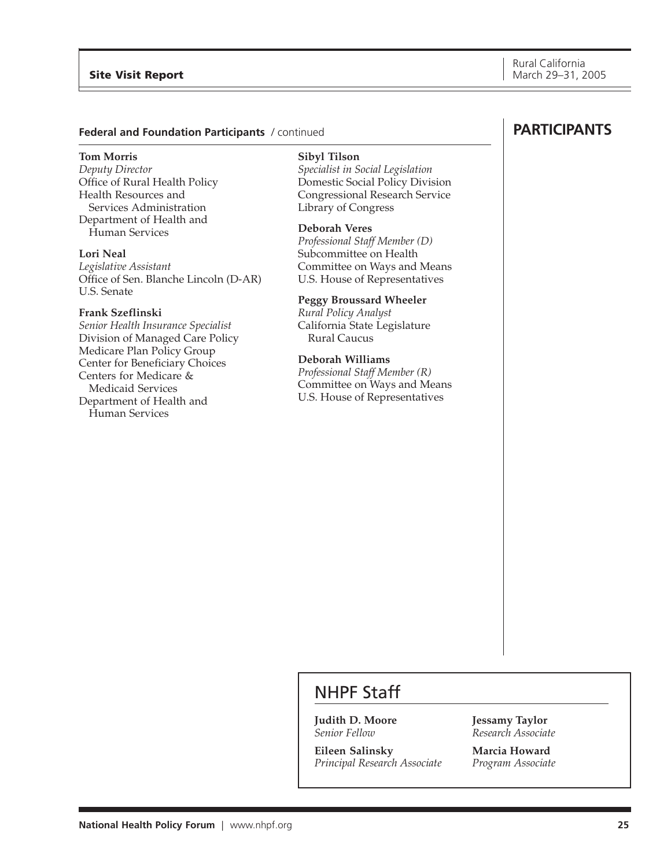## **Federal and Foundation Participants** / continued

#### **Tom Morris**

*Deputy Director* Office of Rural Health Policy Health Resources and Services Administration Department of Health and Human Services

#### **Lori Neal**

*Legislative Assistant* Office of Sen. Blanche Lincoln (D-AR) U.S. Senate

## **Frank Szeflinski**

*Senior Health Insurance Specialist* Division of Managed Care Policy Medicare Plan Policy Group Center for Beneficiary Choices Centers for Medicare & Medicaid Services Department of Health and Human Services

#### **Sibyl Tilson**

*Specialist in Social Legislation* Domestic Social Policy Division Congressional Research Service Library of Congress

## **Deborah Veres**

*Professional Staff Member (D)* Subcommittee on Health Committee on Ways and Means U.S. House of Representatives

#### **Peggy Broussard Wheeler**

*Rural Policy Analyst* California State Legislature Rural Caucus

## **Deborah Williams**

*Professional Staff Member (R)* Committee on Ways and Means U.S. House of Representatives

## **PARTICIPANTS**

## NHPF Staff

**Judith D. Moore** *Senior Fellow*

**Eileen Salinsky** *Principal Research Associate* **Jessamy Taylor** *Research Associate*

**Marcia Howard** *Program Associate*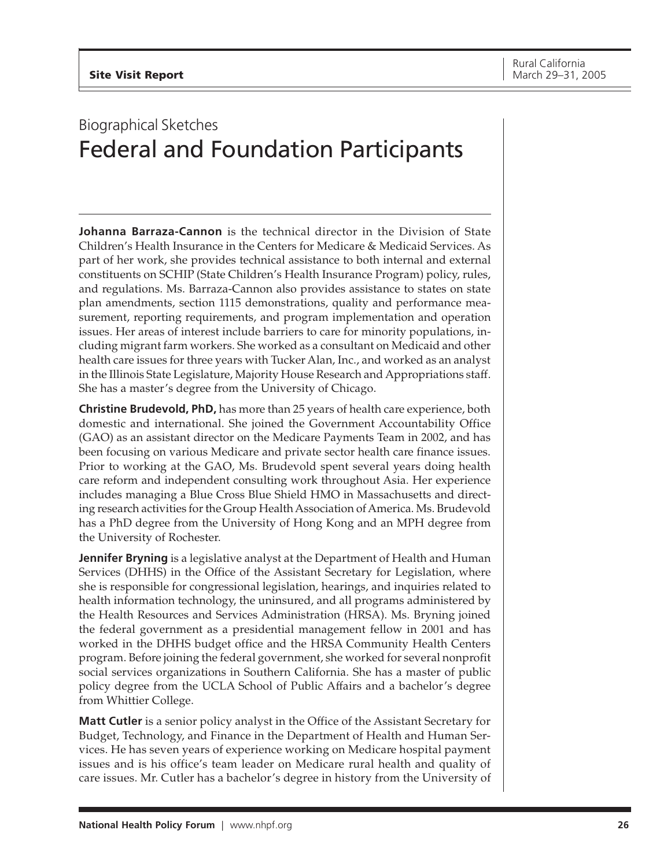# <span id="page-25-0"></span>Biographical Sketches Federal and Foundation Participants

**Johanna Barraza-Cannon** is the technical director in the Division of State Children's Health Insurance in the Centers for Medicare & Medicaid Services. As part of her work, she provides technical assistance to both internal and external constituents on SCHIP (State Children's Health Insurance Program) policy, rules, and regulations. Ms. Barraza-Cannon also provides assistance to states on state plan amendments, section 1115 demonstrations, quality and performance measurement, reporting requirements, and program implementation and operation issues. Her areas of interest include barriers to care for minority populations, including migrant farm workers. She worked as a consultant on Medicaid and other health care issues for three years with Tucker Alan, Inc., and worked as an analyst in the Illinois State Legislature, Majority House Research and Appropriations staff. She has a master's degree from the University of Chicago.

**Christine Brudevold, PhD,** has more than 25 years of health care experience, both domestic and international. She joined the Government Accountability Office (GAO) as an assistant director on the Medicare Payments Team in 2002, and has been focusing on various Medicare and private sector health care finance issues. Prior to working at the GAO, Ms. Brudevold spent several years doing health care reform and independent consulting work throughout Asia. Her experience includes managing a Blue Cross Blue Shield HMO in Massachusetts and directing research activities for the Group Health Association of America. Ms. Brudevold has a PhD degree from the University of Hong Kong and an MPH degree from the University of Rochester.

**Jennifer Bryning** is a legislative analyst at the Department of Health and Human Services (DHHS) in the Office of the Assistant Secretary for Legislation, where she is responsible for congressional legislation, hearings, and inquiries related to health information technology, the uninsured, and all programs administered by the Health Resources and Services Administration (HRSA). Ms. Bryning joined the federal government as a presidential management fellow in 2001 and has worked in the DHHS budget office and the HRSA Community Health Centers program. Before joining the federal government, she worked for several nonprofit social services organizations in Southern California. She has a master of public policy degree from the UCLA School of Public Affairs and a bachelor's degree from Whittier College.

**Matt Cutler** is a senior policy analyst in the Office of the Assistant Secretary for Budget, Technology, and Finance in the Department of Health and Human Services. He has seven years of experience working on Medicare hospital payment issues and is his office's team leader on Medicare rural health and quality of care issues. Mr. Cutler has a bachelor's degree in history from the University of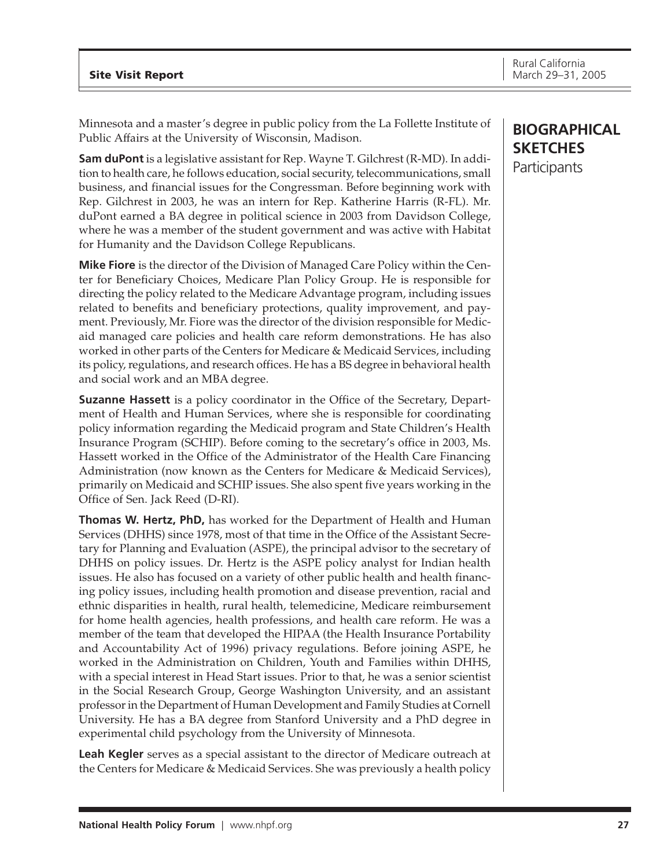Minnesota and a master's degree in public policy from the La Follette Institute of Public Affairs at the University of Wisconsin, Madison.

**Sam duPont** is a legislative assistant for Rep. Wayne T. Gilchrest (R-MD). In addition to health care, he follows education, social security, telecommunications, small business, and financial issues for the Congressman. Before beginning work with Rep. Gilchrest in 2003, he was an intern for Rep. Katherine Harris (R-FL). Mr. duPont earned a BA degree in political science in 2003 from Davidson College, where he was a member of the student government and was active with Habitat for Humanity and the Davidson College Republicans.

**Mike Fiore** is the director of the Division of Managed Care Policy within the Center for Beneficiary Choices, Medicare Plan Policy Group. He is responsible for directing the policy related to the Medicare Advantage program, including issues related to benefits and beneficiary protections, quality improvement, and payment. Previously, Mr. Fiore was the director of the division responsible for Medicaid managed care policies and health care reform demonstrations. He has also worked in other parts of the Centers for Medicare & Medicaid Services, including its policy, regulations, and research offices. He has a BS degree in behavioral health and social work and an MBA degree.

**Suzanne Hassett** is a policy coordinator in the Office of the Secretary, Department of Health and Human Services, where she is responsible for coordinating policy information regarding the Medicaid program and State Children's Health Insurance Program (SCHIP). Before coming to the secretary's office in 2003, Ms. Hassett worked in the Office of the Administrator of the Health Care Financing Administration (now known as the Centers for Medicare & Medicaid Services), primarily on Medicaid and SCHIP issues. She also spent five years working in the Office of Sen. Jack Reed (D-RI).

**Thomas W. Hertz, PhD,** has worked for the Department of Health and Human Services (DHHS) since 1978, most of that time in the Office of the Assistant Secretary for Planning and Evaluation (ASPE), the principal advisor to the secretary of DHHS on policy issues. Dr. Hertz is the ASPE policy analyst for Indian health issues. He also has focused on a variety of other public health and health financing policy issues, including health promotion and disease prevention, racial and ethnic disparities in health, rural health, telemedicine, Medicare reimbursement for home health agencies, health professions, and health care reform. He was a member of the team that developed the HIPAA (the Health Insurance Portability and Accountability Act of 1996) privacy regulations. Before joining ASPE, he worked in the Administration on Children, Youth and Families within DHHS, with a special interest in Head Start issues. Prior to that, he was a senior scientist in the Social Research Group, George Washington University, and an assistant professor in the Department of Human Development and Family Studies at Cornell University. He has a BA degree from Stanford University and a PhD degree in experimental child psychology from the University of Minnesota.

**Leah Kegler** serves as a special assistant to the director of Medicare outreach at the Centers for Medicare & Medicaid Services. She was previously a health policy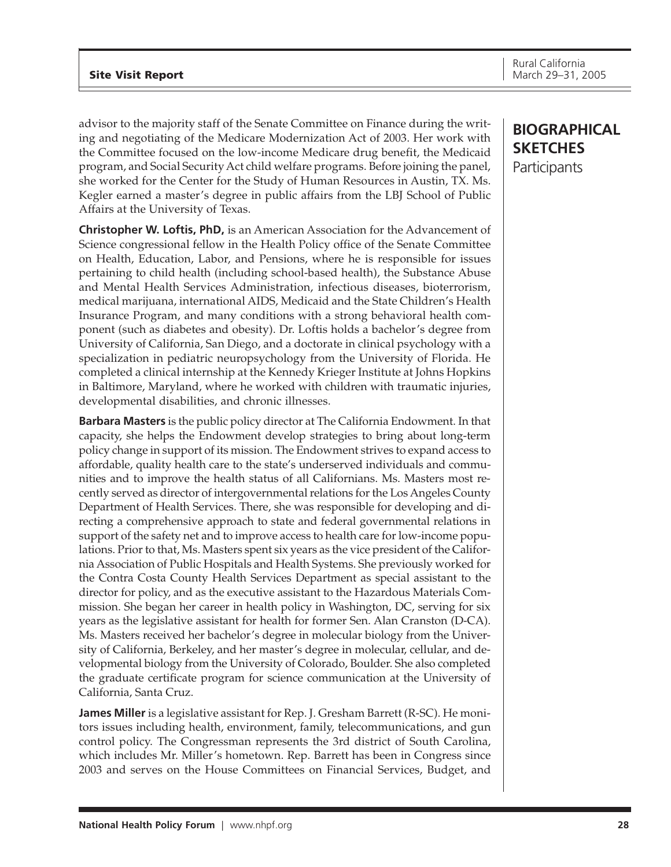advisor to the majority staff of the Senate Committee on Finance during the writing and negotiating of the Medicare Modernization Act of 2003. Her work with the Committee focused on the low-income Medicare drug benefit, the Medicaid program, and Social Security Act child welfare programs. Before joining the panel, she worked for the Center for the Study of Human Resources in Austin, TX. Ms. Kegler earned a master's degree in public affairs from the LBJ School of Public Affairs at the University of Texas.

**Christopher W. Loftis, PhD,** is an American Association for the Advancement of Science congressional fellow in the Health Policy office of the Senate Committee on Health, Education, Labor, and Pensions, where he is responsible for issues pertaining to child health (including school-based health), the Substance Abuse and Mental Health Services Administration, infectious diseases, bioterrorism, medical marijuana, international AIDS, Medicaid and the State Children's Health Insurance Program, and many conditions with a strong behavioral health component (such as diabetes and obesity). Dr. Loftis holds a bachelor's degree from University of California, San Diego, and a doctorate in clinical psychology with a specialization in pediatric neuropsychology from the University of Florida. He completed a clinical internship at the Kennedy Krieger Institute at Johns Hopkins in Baltimore, Maryland, where he worked with children with traumatic injuries, developmental disabilities, and chronic illnesses.

**Barbara Masters** is the public policy director at The California Endowment. In that capacity, she helps the Endowment develop strategies to bring about long-term policy change in support of its mission. The Endowment strives to expand access to affordable, quality health care to the state's underserved individuals and communities and to improve the health status of all Californians. Ms. Masters most recently served as director of intergovernmental relations for the Los Angeles County Department of Health Services. There, she was responsible for developing and directing a comprehensive approach to state and federal governmental relations in support of the safety net and to improve access to health care for low-income populations. Prior to that, Ms. Masters spent six years as the vice president of the California Association of Public Hospitals and Health Systems. She previously worked for the Contra Costa County Health Services Department as special assistant to the director for policy, and as the executive assistant to the Hazardous Materials Commission. She began her career in health policy in Washington, DC, serving for six years as the legislative assistant for health for former Sen. Alan Cranston (D-CA). Ms. Masters received her bachelor's degree in molecular biology from the University of California, Berkeley, and her master's degree in molecular, cellular, and developmental biology from the University of Colorado, Boulder. She also completed the graduate certificate program for science communication at the University of California, Santa Cruz.

**James Miller** is a legislative assistant for Rep. J. Gresham Barrett (R-SC). He monitors issues including health, environment, family, telecommunications, and gun control policy. The Congressman represents the 3rd district of South Carolina, which includes Mr. Miller's hometown. Rep. Barrett has been in Congress since 2003 and serves on the House Committees on Financial Services, Budget, and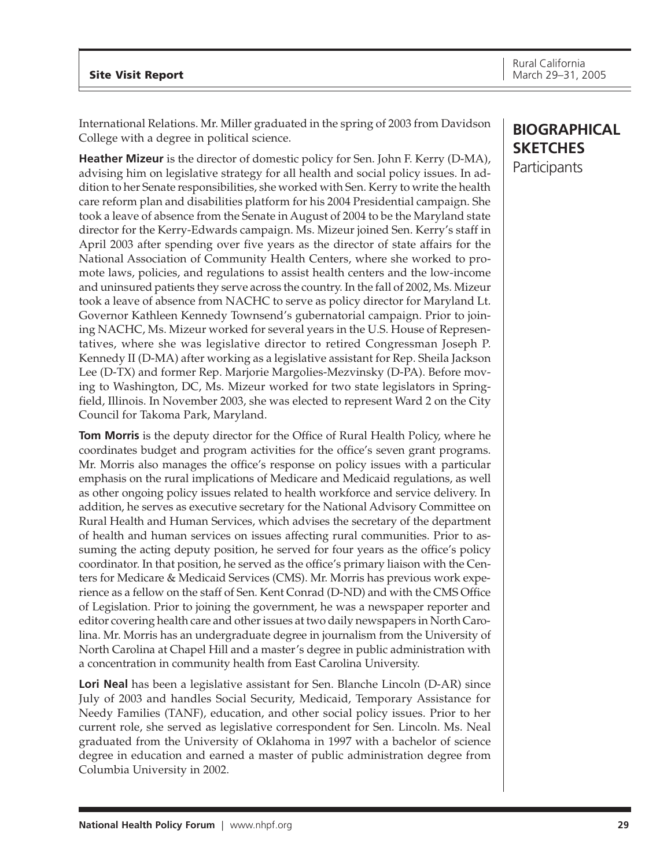International Relations. Mr. Miller graduated in the spring of 2003 from Davidson College with a degree in political science.

**Heather Mizeur** is the director of domestic policy for Sen. John F. Kerry (D-MA), advising him on legislative strategy for all health and social policy issues. In addition to her Senate responsibilities, she worked with Sen. Kerry to write the health care reform plan and disabilities platform for his 2004 Presidential campaign. She took a leave of absence from the Senate in August of 2004 to be the Maryland state director for the Kerry-Edwards campaign. Ms. Mizeur joined Sen. Kerry's staff in April 2003 after spending over five years as the director of state affairs for the National Association of Community Health Centers, where she worked to promote laws, policies, and regulations to assist health centers and the low-income and uninsured patients they serve across the country. In the fall of 2002, Ms. Mizeur took a leave of absence from NACHC to serve as policy director for Maryland Lt. Governor Kathleen Kennedy Townsend's gubernatorial campaign. Prior to joining NACHC, Ms. Mizeur worked for several years in the U.S. House of Representatives, where she was legislative director to retired Congressman Joseph P. Kennedy II (D-MA) after working as a legislative assistant for Rep. Sheila Jackson Lee (D-TX) and former Rep. Marjorie Margolies-Mezvinsky (D-PA). Before moving to Washington, DC, Ms. Mizeur worked for two state legislators in Springfield, Illinois. In November 2003, she was elected to represent Ward 2 on the City Council for Takoma Park, Maryland.

**Tom Morris** is the deputy director for the Office of Rural Health Policy, where he coordinates budget and program activities for the office's seven grant programs. Mr. Morris also manages the office's response on policy issues with a particular emphasis on the rural implications of Medicare and Medicaid regulations, as well as other ongoing policy issues related to health workforce and service delivery. In addition, he serves as executive secretary for the National Advisory Committee on Rural Health and Human Services, which advises the secretary of the department of health and human services on issues affecting rural communities. Prior to assuming the acting deputy position, he served for four years as the office's policy coordinator. In that position, he served as the office's primary liaison with the Centers for Medicare & Medicaid Services (CMS). Mr. Morris has previous work experience as a fellow on the staff of Sen. Kent Conrad (D-ND) and with the CMS Office of Legislation. Prior to joining the government, he was a newspaper reporter and editor covering health care and other issues at two daily newspapers in North Carolina. Mr. Morris has an undergraduate degree in journalism from the University of North Carolina at Chapel Hill and a master's degree in public administration with a concentration in community health from East Carolina University.

**Lori Neal** has been a legislative assistant for Sen. Blanche Lincoln (D-AR) since July of 2003 and handles Social Security, Medicaid, Temporary Assistance for Needy Families (TANF), education, and other social policy issues. Prior to her current role, she served as legislative correspondent for Sen. Lincoln. Ms. Neal graduated from the University of Oklahoma in 1997 with a bachelor of science degree in education and earned a master of public administration degree from Columbia University in 2002.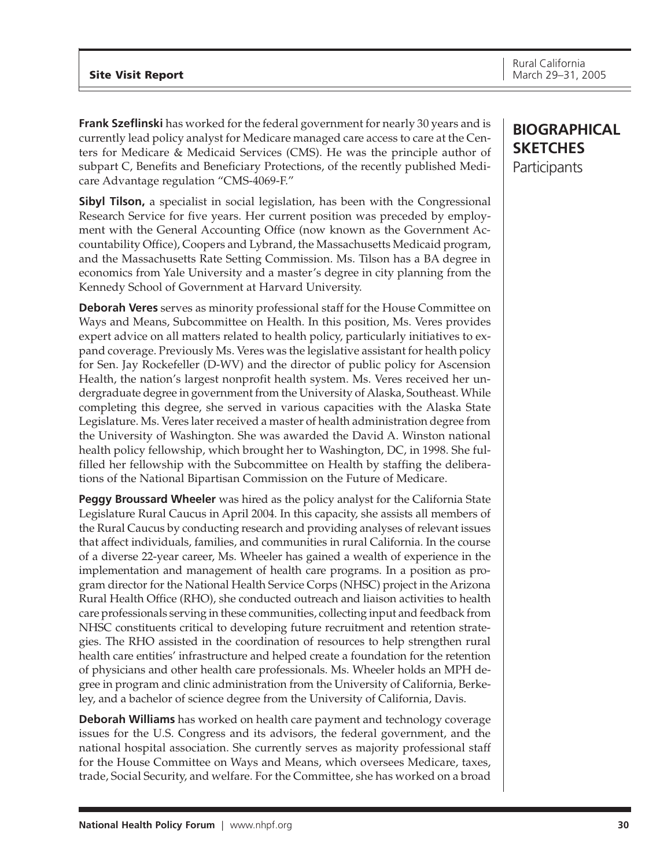**Frank Szeflinski** has worked for the federal government for nearly 30 years and is currently lead policy analyst for Medicare managed care access to care at the Centers for Medicare & Medicaid Services (CMS). He was the principle author of subpart C, Benefits and Beneficiary Protections, of the recently published Medicare Advantage regulation "CMS-4069-F."

**Sibyl Tilson,** a specialist in social legislation, has been with the Congressional Research Service for five years. Her current position was preceded by employment with the General Accounting Office (now known as the Government Accountability Office), Coopers and Lybrand, the Massachusetts Medicaid program, and the Massachusetts Rate Setting Commission. Ms. Tilson has a BA degree in economics from Yale University and a master's degree in city planning from the Kennedy School of Government at Harvard University.

**Deborah Veres** serves as minority professional staff for the House Committee on Ways and Means, Subcommittee on Health. In this position, Ms. Veres provides expert advice on all matters related to health policy, particularly initiatives to expand coverage. Previously Ms. Veres was the legislative assistant for health policy for Sen. Jay Rockefeller (D-WV) and the director of public policy for Ascension Health, the nation's largest nonprofit health system. Ms. Veres received her undergraduate degree in government from the University of Alaska, Southeast. While completing this degree, she served in various capacities with the Alaska State Legislature. Ms. Veres later received a master of health administration degree from the University of Washington. She was awarded the David A. Winston national health policy fellowship, which brought her to Washington, DC, in 1998. She fulfilled her fellowship with the Subcommittee on Health by staffing the deliberations of the National Bipartisan Commission on the Future of Medicare.

**Peggy Broussard Wheeler** was hired as the policy analyst for the California State Legislature Rural Caucus in April 2004. In this capacity, she assists all members of the Rural Caucus by conducting research and providing analyses of relevant issues that affect individuals, families, and communities in rural California. In the course of a diverse 22-year career, Ms. Wheeler has gained a wealth of experience in the implementation and management of health care programs. In a position as program director for the National Health Service Corps (NHSC) project in the Arizona Rural Health Office (RHO), she conducted outreach and liaison activities to health care professionals serving in these communities, collecting input and feedback from NHSC constituents critical to developing future recruitment and retention strategies. The RHO assisted in the coordination of resources to help strengthen rural health care entities' infrastructure and helped create a foundation for the retention of physicians and other health care professionals. Ms. Wheeler holds an MPH degree in program and clinic administration from the University of California, Berkeley, and a bachelor of science degree from the University of California, Davis.

**Deborah Williams** has worked on health care payment and technology coverage issues for the U.S. Congress and its advisors, the federal government, and the national hospital association. She currently serves as majority professional staff for the House Committee on Ways and Means, which oversees Medicare, taxes, trade, Social Security, and welfare. For the Committee, she has worked on a broad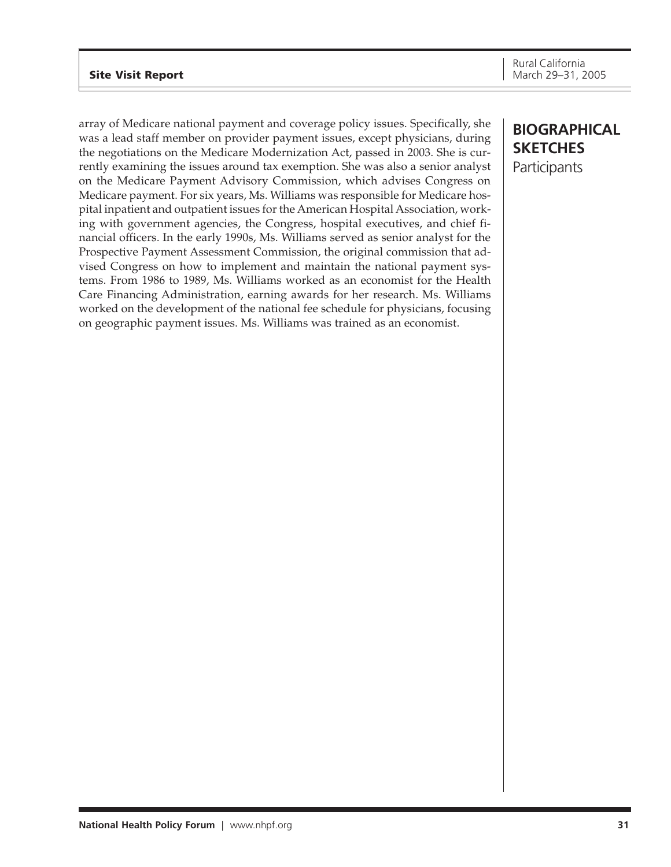array of Medicare national payment and coverage policy issues. Specifically, she was a lead staff member on provider payment issues, except physicians, during the negotiations on the Medicare Modernization Act, passed in 2003. She is currently examining the issues around tax exemption. She was also a senior analyst on the Medicare Payment Advisory Commission, which advises Congress on Medicare payment. For six years, Ms. Williams was responsible for Medicare hospital inpatient and outpatient issues for the American Hospital Association, working with government agencies, the Congress, hospital executives, and chief financial officers. In the early 1990s, Ms. Williams served as senior analyst for the Prospective Payment Assessment Commission, the original commission that advised Congress on how to implement and maintain the national payment systems. From 1986 to 1989, Ms. Williams worked as an economist for the Health Care Financing Administration, earning awards for her research. Ms. Williams worked on the development of the national fee schedule for physicians, focusing on geographic payment issues. Ms. Williams was trained as an economist.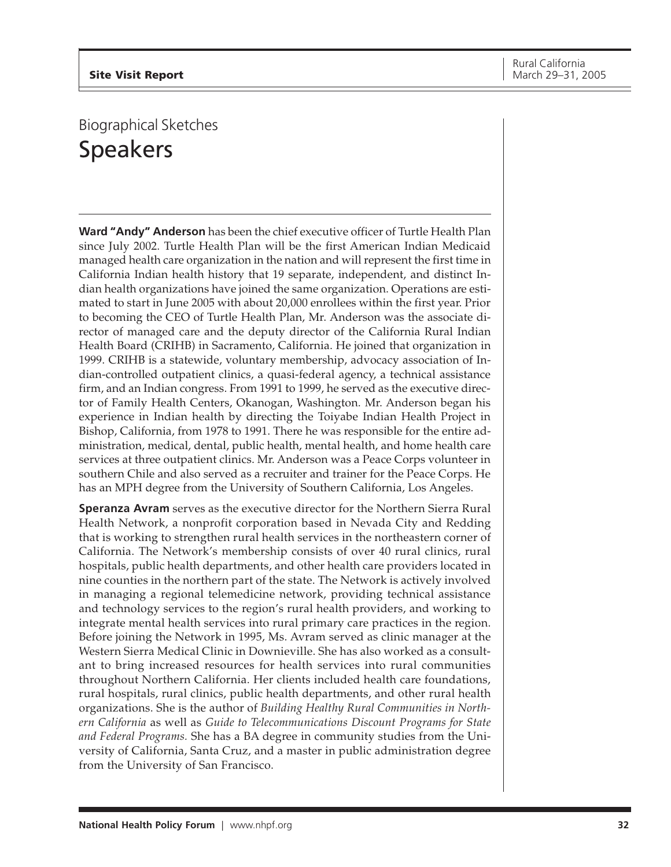# <span id="page-31-0"></span>Biographical Sketches Speakers

**Ward "Andy" Anderson** has been the chief executive officer of Turtle Health Plan since July 2002. Turtle Health Plan will be the first American Indian Medicaid managed health care organization in the nation and will represent the first time in California Indian health history that 19 separate, independent, and distinct Indian health organizations have joined the same organization. Operations are estimated to start in June 2005 with about 20,000 enrollees within the first year. Prior to becoming the CEO of Turtle Health Plan, Mr. Anderson was the associate director of managed care and the deputy director of the California Rural Indian Health Board (CRIHB) in Sacramento, California. He joined that organization in 1999. CRIHB is a statewide, voluntary membership, advocacy association of Indian-controlled outpatient clinics, a quasi-federal agency, a technical assistance firm, and an Indian congress. From 1991 to 1999, he served as the executive director of Family Health Centers, Okanogan, Washington. Mr. Anderson began his experience in Indian health by directing the Toiyabe Indian Health Project in Bishop, California, from 1978 to 1991. There he was responsible for the entire administration, medical, dental, public health, mental health, and home health care services at three outpatient clinics. Mr. Anderson was a Peace Corps volunteer in southern Chile and also served as a recruiter and trainer for the Peace Corps. He has an MPH degree from the University of Southern California, Los Angeles.

**Speranza Avram** serves as the executive director for the Northern Sierra Rural Health Network, a nonprofit corporation based in Nevada City and Redding that is working to strengthen rural health services in the northeastern corner of California. The Network's membership consists of over 40 rural clinics, rural hospitals, public health departments, and other health care providers located in nine counties in the northern part of the state. The Network is actively involved in managing a regional telemedicine network, providing technical assistance and technology services to the region's rural health providers, and working to integrate mental health services into rural primary care practices in the region. Before joining the Network in 1995, Ms. Avram served as clinic manager at the Western Sierra Medical Clinic in Downieville. She has also worked as a consultant to bring increased resources for health services into rural communities throughout Northern California. Her clients included health care foundations, rural hospitals, rural clinics, public health departments, and other rural health organizations. She is the author of *Building Healthy Rural Communities in Northern California* as well as *Guide to Telecommunications Discount Programs for State and Federal Programs.* She has a BA degree in community studies from the University of California, Santa Cruz, and a master in public administration degree from the University of San Francisco.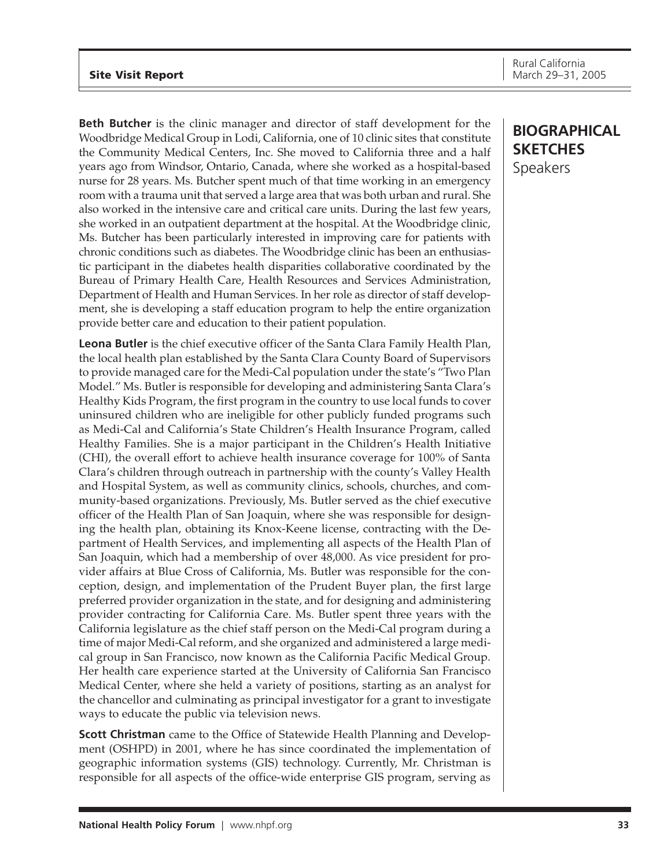## **Site Visit Report**

**Beth Butcher** is the clinic manager and director of staff development for the Woodbridge Medical Group in Lodi, California, one of 10 clinic sites that constitute the Community Medical Centers, Inc. She moved to California three and a half years ago from Windsor, Ontario, Canada, where she worked as a hospital-based nurse for 28 years. Ms. Butcher spent much of that time working in an emergency room with a trauma unit that served a large area that was both urban and rural. She also worked in the intensive care and critical care units. During the last few years, she worked in an outpatient department at the hospital. At the Woodbridge clinic, Ms. Butcher has been particularly interested in improving care for patients with chronic conditions such as diabetes. The Woodbridge clinic has been an enthusiastic participant in the diabetes health disparities collaborative coordinated by the Bureau of Primary Health Care, Health Resources and Services Administration, Department of Health and Human Services. In her role as director of staff development, she is developing a staff education program to help the entire organization provide better care and education to their patient population.

**Leona Butler** is the chief executive officer of the Santa Clara Family Health Plan, the local health plan established by the Santa Clara County Board of Supervisors to provide managed care for the Medi-Cal population under the state's "Two Plan Model." Ms. Butler is responsible for developing and administering Santa Clara's Healthy Kids Program, the first program in the country to use local funds to cover uninsured children who are ineligible for other publicly funded programs such as Medi-Cal and California's State Children's Health Insurance Program, called Healthy Families. She is a major participant in the Children's Health Initiative (CHI), the overall effort to achieve health insurance coverage for 100% of Santa Clara's children through outreach in partnership with the county's Valley Health and Hospital System, as well as community clinics, schools, churches, and community-based organizations. Previously, Ms. Butler served as the chief executive officer of the Health Plan of San Joaquin, where she was responsible for designing the health plan, obtaining its Knox-Keene license, contracting with the Department of Health Services, and implementing all aspects of the Health Plan of San Joaquin, which had a membership of over 48,000. As vice president for provider affairs at Blue Cross of California, Ms. Butler was responsible for the conception, design, and implementation of the Prudent Buyer plan, the first large preferred provider organization in the state, and for designing and administering provider contracting for California Care. Ms. Butler spent three years with the California legislature as the chief staff person on the Medi-Cal program during a time of major Medi-Cal reform, and she organized and administered a large medical group in San Francisco, now known as the California Pacific Medical Group. Her health care experience started at the University of California San Francisco Medical Center, where she held a variety of positions, starting as an analyst for the chancellor and culminating as principal investigator for a grant to investigate ways to educate the public via television news.

**Scott Christman** came to the Office of Statewide Health Planning and Development (OSHPD) in 2001, where he has since coordinated the implementation of geographic information systems (GIS) technology. Currently, Mr. Christman is responsible for all aspects of the office-wide enterprise GIS program, serving as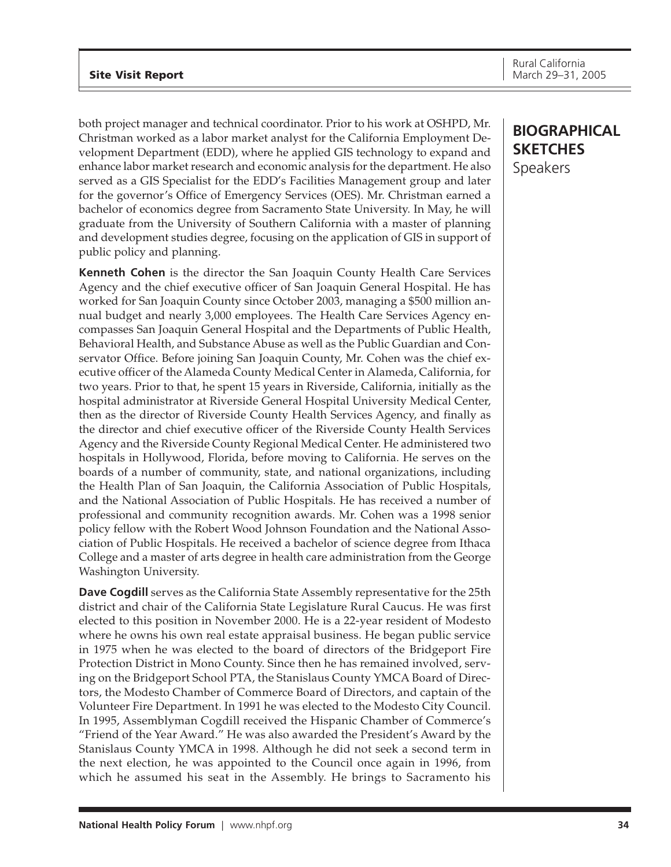both project manager and technical coordinator. Prior to his work at OSHPD, Mr. Christman worked as a labor market analyst for the California Employment Development Department (EDD), where he applied GIS technology to expand and enhance labor market research and economic analysis for the department. He also served as a GIS Specialist for the EDD's Facilities Management group and later for the governor's Office of Emergency Services (OES). Mr. Christman earned a bachelor of economics degree from Sacramento State University. In May, he will graduate from the University of Southern California with a master of planning and development studies degree, focusing on the application of GIS in support of public policy and planning.

**Kenneth Cohen** is the director the San Joaquin County Health Care Services Agency and the chief executive officer of San Joaquin General Hospital. He has worked for San Joaquin County since October 2003, managing a \$500 million annual budget and nearly 3,000 employees. The Health Care Services Agency encompasses San Joaquin General Hospital and the Departments of Public Health, Behavioral Health, and Substance Abuse as well as the Public Guardian and Conservator Office. Before joining San Joaquin County, Mr. Cohen was the chief executive officer of the Alameda County Medical Center in Alameda, California, for two years. Prior to that, he spent 15 years in Riverside, California, initially as the hospital administrator at Riverside General Hospital University Medical Center, then as the director of Riverside County Health Services Agency, and finally as the director and chief executive officer of the Riverside County Health Services Agency and the Riverside County Regional Medical Center. He administered two hospitals in Hollywood, Florida, before moving to California. He serves on the boards of a number of community, state, and national organizations, including the Health Plan of San Joaquin, the California Association of Public Hospitals, and the National Association of Public Hospitals. He has received a number of professional and community recognition awards. Mr. Cohen was a 1998 senior policy fellow with the Robert Wood Johnson Foundation and the National Association of Public Hospitals. He received a bachelor of science degree from Ithaca College and a master of arts degree in health care administration from the George Washington University.

**Dave Cogdill** serves as the California State Assembly representative for the 25th district and chair of the California State Legislature Rural Caucus. He was first elected to this position in November 2000. He is a 22-year resident of Modesto where he owns his own real estate appraisal business. He began public service in 1975 when he was elected to the board of directors of the Bridgeport Fire Protection District in Mono County. Since then he has remained involved, serving on the Bridgeport School PTA, the Stanislaus County YMCA Board of Directors, the Modesto Chamber of Commerce Board of Directors, and captain of the Volunteer Fire Department. In 1991 he was elected to the Modesto City Council. In 1995, Assemblyman Cogdill received the Hispanic Chamber of Commerce's "Friend of the Year Award." He was also awarded the President's Award by the Stanislaus County YMCA in 1998. Although he did not seek a second term in the next election, he was appointed to the Council once again in 1996, from which he assumed his seat in the Assembly. He brings to Sacramento his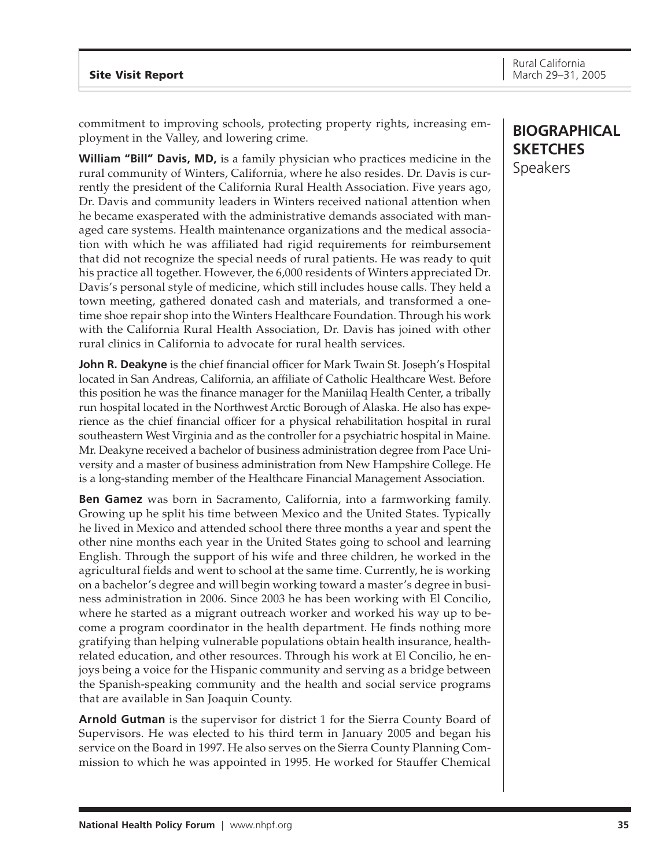commitment to improving schools, protecting property rights, increasing employment in the Valley, and lowering crime.

**William "Bill" Davis, MD,** is a family physician who practices medicine in the rural community of Winters, California, where he also resides. Dr. Davis is currently the president of the California Rural Health Association. Five years ago, Dr. Davis and community leaders in Winters received national attention when he became exasperated with the administrative demands associated with managed care systems. Health maintenance organizations and the medical association with which he was affiliated had rigid requirements for reimbursement that did not recognize the special needs of rural patients. He was ready to quit his practice all together. However, the 6,000 residents of Winters appreciated Dr. Davis's personal style of medicine, which still includes house calls. They held a town meeting, gathered donated cash and materials, and transformed a onetime shoe repair shop into the Winters Healthcare Foundation. Through his work with the California Rural Health Association, Dr. Davis has joined with other rural clinics in California to advocate for rural health services.

**John R. Deakyne** is the chief financial officer for Mark Twain St. Joseph's Hospital located in San Andreas, California, an affiliate of Catholic Healthcare West. Before this position he was the finance manager for the Maniilaq Health Center, a tribally run hospital located in the Northwest Arctic Borough of Alaska. He also has experience as the chief financial officer for a physical rehabilitation hospital in rural southeastern West Virginia and as the controller for a psychiatric hospital in Maine. Mr. Deakyne received a bachelor of business administration degree from Pace University and a master of business administration from New Hampshire College. He is a long-standing member of the Healthcare Financial Management Association.

**Ben Gamez** was born in Sacramento, California, into a farmworking family. Growing up he split his time between Mexico and the United States. Typically he lived in Mexico and attended school there three months a year and spent the other nine months each year in the United States going to school and learning English. Through the support of his wife and three children, he worked in the agricultural fields and went to school at the same time. Currently, he is working on a bachelor's degree and will begin working toward a master's degree in business administration in 2006. Since 2003 he has been working with El Concilio, where he started as a migrant outreach worker and worked his way up to become a program coordinator in the health department. He finds nothing more gratifying than helping vulnerable populations obtain health insurance, healthrelated education, and other resources. Through his work at El Concilio, he enjoys being a voice for the Hispanic community and serving as a bridge between the Spanish-speaking community and the health and social service programs that are available in San Joaquin County.

**Arnold Gutman** is the supervisor for district 1 for the Sierra County Board of Supervisors. He was elected to his third term in January 2005 and began his service on the Board in 1997. He also serves on the Sierra County Planning Commission to which he was appointed in 1995. He worked for Stauffer Chemical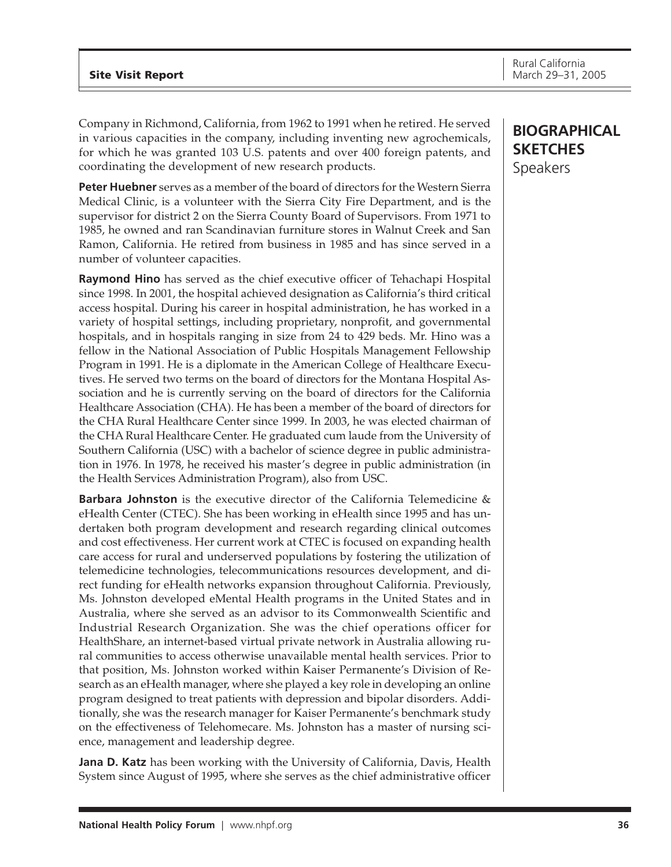Company in Richmond, California, from 1962 to 1991 when he retired. He served in various capacities in the company, including inventing new agrochemicals, for which he was granted 103 U.S. patents and over 400 foreign patents, and coordinating the development of new research products.

**Peter Huebner** serves as a member of the board of directors for the Western Sierra Medical Clinic, is a volunteer with the Sierra City Fire Department, and is the supervisor for district 2 on the Sierra County Board of Supervisors. From 1971 to 1985, he owned and ran Scandinavian furniture stores in Walnut Creek and San Ramon, California. He retired from business in 1985 and has since served in a number of volunteer capacities.

**Raymond Hino** has served as the chief executive officer of Tehachapi Hospital since 1998. In 2001, the hospital achieved designation as California's third critical access hospital. During his career in hospital administration, he has worked in a variety of hospital settings, including proprietary, nonprofit, and governmental hospitals, and in hospitals ranging in size from 24 to 429 beds. Mr. Hino was a fellow in the National Association of Public Hospitals Management Fellowship Program in 1991. He is a diplomate in the American College of Healthcare Executives. He served two terms on the board of directors for the Montana Hospital Association and he is currently serving on the board of directors for the California Healthcare Association (CHA). He has been a member of the board of directors for the CHA Rural Healthcare Center since 1999. In 2003, he was elected chairman of the CHA Rural Healthcare Center. He graduated cum laude from the University of Southern California (USC) with a bachelor of science degree in public administration in 1976. In 1978, he received his master's degree in public administration (in the Health Services Administration Program), also from USC.

**Barbara Johnston** is the executive director of the California Telemedicine & eHealth Center (CTEC). She has been working in eHealth since 1995 and has undertaken both program development and research regarding clinical outcomes and cost effectiveness. Her current work at CTEC is focused on expanding health care access for rural and underserved populations by fostering the utilization of telemedicine technologies, telecommunications resources development, and direct funding for eHealth networks expansion throughout California. Previously, Ms. Johnston developed eMental Health programs in the United States and in Australia, where she served as an advisor to its Commonwealth Scientific and Industrial Research Organization. She was the chief operations officer for HealthShare, an internet-based virtual private network in Australia allowing rural communities to access otherwise unavailable mental health services. Prior to that position, Ms. Johnston worked within Kaiser Permanente's Division of Research as an eHealth manager, where she played a key role in developing an online program designed to treat patients with depression and bipolar disorders. Additionally, she was the research manager for Kaiser Permanente's benchmark study on the effectiveness of Telehomecare. Ms. Johnston has a master of nursing science, management and leadership degree.

**Jana D. Katz** has been working with the University of California, Davis, Health System since August of 1995, where she serves as the chief administrative officer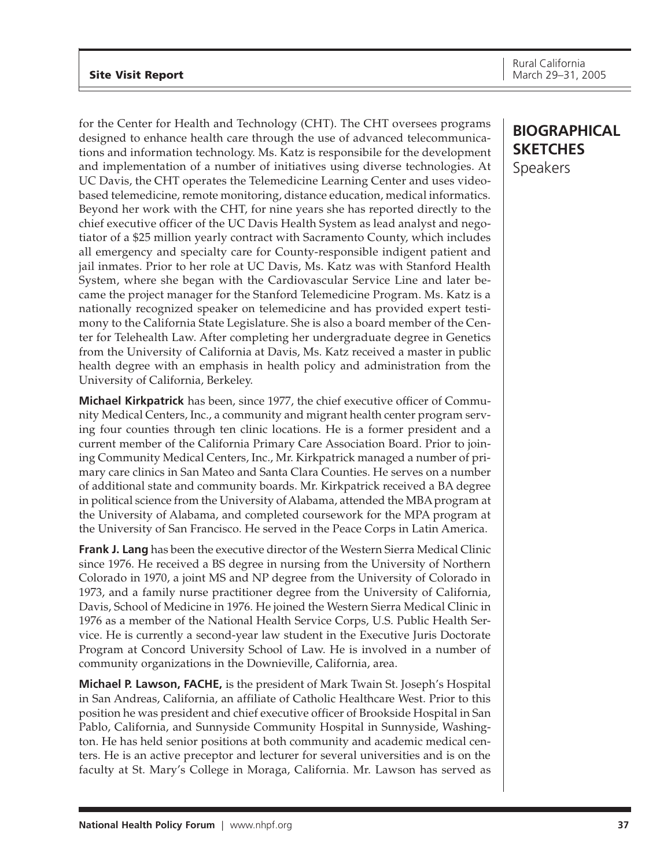for the Center for Health and Technology (CHT). The CHT oversees programs designed to enhance health care through the use of advanced telecommunications and information technology. Ms. Katz is responsibile for the development and implementation of a number of initiatives using diverse technologies. At UC Davis, the CHT operates the Telemedicine Learning Center and uses videobased telemedicine, remote monitoring, distance education, medical informatics. Beyond her work with the CHT, for nine years she has reported directly to the chief executive officer of the UC Davis Health System as lead analyst and negotiator of a \$25 million yearly contract with Sacramento County, which includes all emergency and specialty care for County-responsible indigent patient and jail inmates. Prior to her role at UC Davis, Ms. Katz was with Stanford Health System, where she began with the Cardiovascular Service Line and later became the project manager for the Stanford Telemedicine Program. Ms. Katz is a nationally recognized speaker on telemedicine and has provided expert testimony to the California State Legislature. She is also a board member of the Center for Telehealth Law. After completing her undergraduate degree in Genetics from the University of California at Davis, Ms. Katz received a master in public health degree with an emphasis in health policy and administration from the University of California, Berkeley.

**Michael Kirkpatrick** has been, since 1977, the chief executive officer of Community Medical Centers, Inc., a community and migrant health center program serving four counties through ten clinic locations. He is a former president and a current member of the California Primary Care Association Board. Prior to joining Community Medical Centers, Inc., Mr. Kirkpatrick managed a number of primary care clinics in San Mateo and Santa Clara Counties. He serves on a number of additional state and community boards. Mr. Kirkpatrick received a BA degree in political science from the University of Alabama, attended the MBA program at the University of Alabama, and completed coursework for the MPA program at the University of San Francisco. He served in the Peace Corps in Latin America.

**Frank J. Lang** has been the executive director of the Western Sierra Medical Clinic since 1976. He received a BS degree in nursing from the University of Northern Colorado in 1970, a joint MS and NP degree from the University of Colorado in 1973, and a family nurse practitioner degree from the University of California, Davis, School of Medicine in 1976. He joined the Western Sierra Medical Clinic in 1976 as a member of the National Health Service Corps, U.S. Public Health Service. He is currently a second-year law student in the Executive Juris Doctorate Program at Concord University School of Law. He is involved in a number of community organizations in the Downieville, California, area.

**Michael P. Lawson, FACHE,** is the president of Mark Twain St. Joseph's Hospital in San Andreas, California, an affiliate of Catholic Healthcare West. Prior to this position he was president and chief executive officer of Brookside Hospital in San Pablo, California, and Sunnyside Community Hospital in Sunnyside, Washington. He has held senior positions at both community and academic medical centers. He is an active preceptor and lecturer for several universities and is on the faculty at St. Mary's College in Moraga, California. Mr. Lawson has served as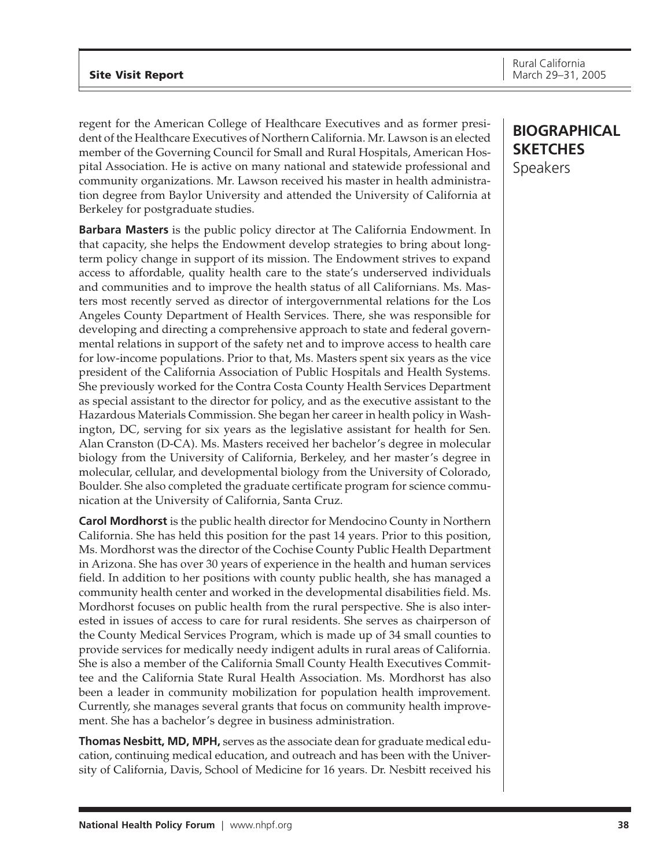regent for the American College of Healthcare Executives and as former president of the Healthcare Executives of Northern California. Mr. Lawson is an elected member of the Governing Council for Small and Rural Hospitals, American Hospital Association. He is active on many national and statewide professional and community organizations. Mr. Lawson received his master in health administration degree from Baylor University and attended the University of California at Berkeley for postgraduate studies.

**Barbara Masters** is the public policy director at The California Endowment. In that capacity, she helps the Endowment develop strategies to bring about longterm policy change in support of its mission. The Endowment strives to expand access to affordable, quality health care to the state's underserved individuals and communities and to improve the health status of all Californians. Ms. Masters most recently served as director of intergovernmental relations for the Los Angeles County Department of Health Services. There, she was responsible for developing and directing a comprehensive approach to state and federal governmental relations in support of the safety net and to improve access to health care for low-income populations. Prior to that, Ms. Masters spent six years as the vice president of the California Association of Public Hospitals and Health Systems. She previously worked for the Contra Costa County Health Services Department as special assistant to the director for policy, and as the executive assistant to the Hazardous Materials Commission. She began her career in health policy in Washington, DC, serving for six years as the legislative assistant for health for Sen. Alan Cranston (D-CA). Ms. Masters received her bachelor's degree in molecular biology from the University of California, Berkeley, and her master's degree in molecular, cellular, and developmental biology from the University of Colorado, Boulder. She also completed the graduate certificate program for science communication at the University of California, Santa Cruz.

**Carol Mordhorst** is the public health director for Mendocino County in Northern California. She has held this position for the past 14 years. Prior to this position, Ms. Mordhorst was the director of the Cochise County Public Health Department in Arizona. She has over 30 years of experience in the health and human services field. In addition to her positions with county public health, she has managed a community health center and worked in the developmental disabilities field. Ms. Mordhorst focuses on public health from the rural perspective. She is also interested in issues of access to care for rural residents. She serves as chairperson of the County Medical Services Program, which is made up of 34 small counties to provide services for medically needy indigent adults in rural areas of California. She is also a member of the California Small County Health Executives Committee and the California State Rural Health Association. Ms. Mordhorst has also been a leader in community mobilization for population health improvement. Currently, she manages several grants that focus on community health improvement. She has a bachelor's degree in business administration.

**Thomas Nesbitt, MD, MPH,** serves as the associate dean for graduate medical education, continuing medical education, and outreach and has been with the University of California, Davis, School of Medicine for 16 years. Dr. Nesbitt received his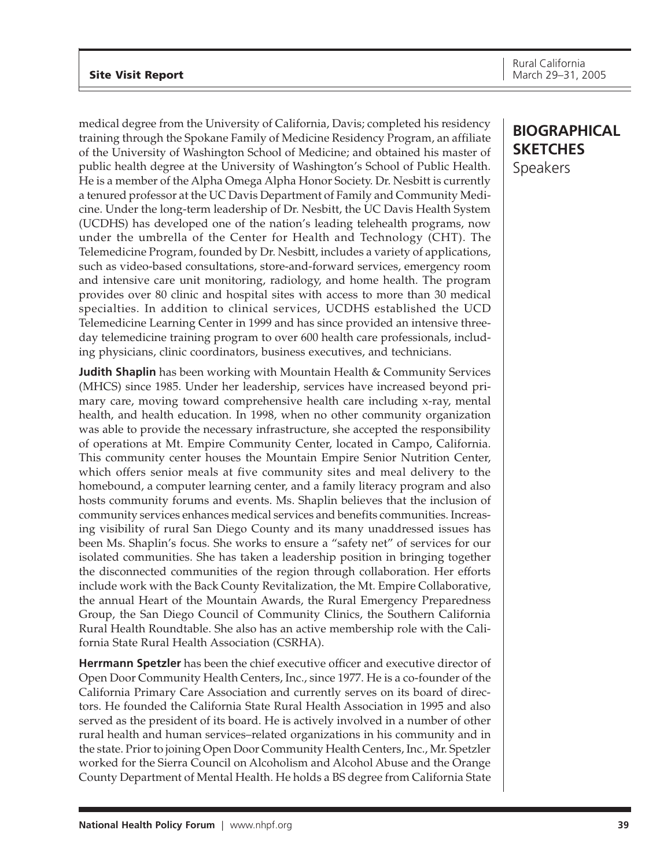medical degree from the University of California, Davis; completed his residency training through the Spokane Family of Medicine Residency Program, an affiliate of the University of Washington School of Medicine; and obtained his master of public health degree at the University of Washington's School of Public Health. He is a member of the Alpha Omega Alpha Honor Society. Dr. Nesbitt is currently a tenured professor at the UC Davis Department of Family and Community Medicine. Under the long-term leadership of Dr. Nesbitt, the UC Davis Health System (UCDHS) has developed one of the nation's leading telehealth programs, now under the umbrella of the Center for Health and Technology (CHT). The Telemedicine Program, founded by Dr. Nesbitt, includes a variety of applications, such as video-based consultations, store-and-forward services, emergency room and intensive care unit monitoring, radiology, and home health. The program provides over 80 clinic and hospital sites with access to more than 30 medical specialties. In addition to clinical services, UCDHS established the UCD Telemedicine Learning Center in 1999 and has since provided an intensive threeday telemedicine training program to over 600 health care professionals, including physicians, clinic coordinators, business executives, and technicians.

**Judith Shaplin** has been working with Mountain Health & Community Services (MHCS) since 1985. Under her leadership, services have increased beyond primary care, moving toward comprehensive health care including x-ray, mental health, and health education. In 1998, when no other community organization was able to provide the necessary infrastructure, she accepted the responsibility of operations at Mt. Empire Community Center, located in Campo, California. This community center houses the Mountain Empire Senior Nutrition Center, which offers senior meals at five community sites and meal delivery to the homebound, a computer learning center, and a family literacy program and also hosts community forums and events. Ms. Shaplin believes that the inclusion of community services enhances medical services and benefits communities. Increasing visibility of rural San Diego County and its many unaddressed issues has been Ms. Shaplin's focus. She works to ensure a "safety net" of services for our isolated communities. She has taken a leadership position in bringing together the disconnected communities of the region through collaboration. Her efforts include work with the Back County Revitalization, the Mt. Empire Collaborative, the annual Heart of the Mountain Awards, the Rural Emergency Preparedness Group, the San Diego Council of Community Clinics, the Southern California Rural Health Roundtable. She also has an active membership role with the California State Rural Health Association (CSRHA).

**Herrmann Spetzler** has been the chief executive officer and executive director of Open Door Community Health Centers, Inc., since 1977. He is a co-founder of the California Primary Care Association and currently serves on its board of directors. He founded the California State Rural Health Association in 1995 and also served as the president of its board. He is actively involved in a number of other rural health and human services–related organizations in his community and in the state. Prior to joining Open Door Community Health Centers, Inc., Mr. Spetzler worked for the Sierra Council on Alcoholism and Alcohol Abuse and the Orange County Department of Mental Health. He holds a BS degree from California State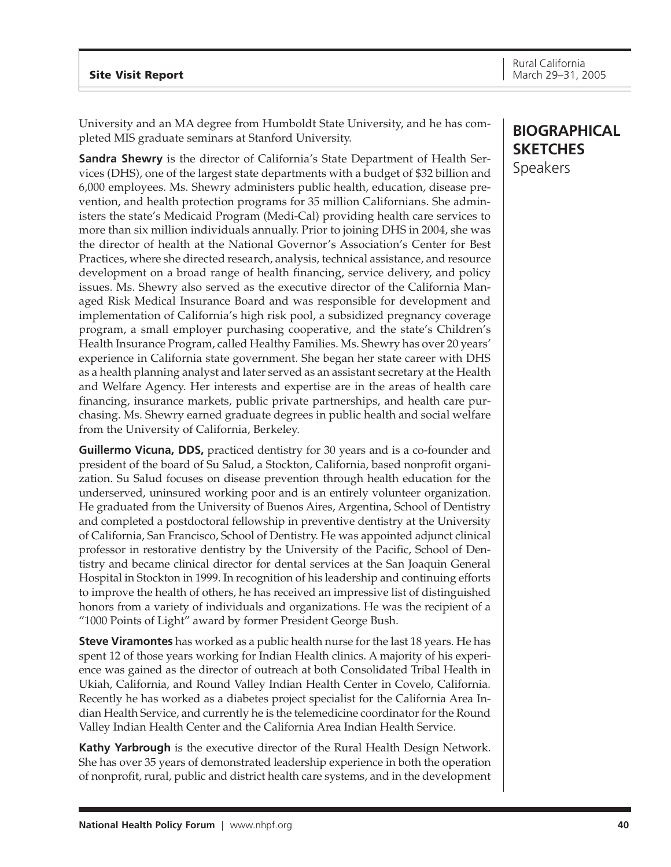University and an MA degree from Humboldt State University, and he has completed MIS graduate seminars at Stanford University.

**Sandra Shewry** is the director of California's State Department of Health Services (DHS), one of the largest state departments with a budget of \$32 billion and 6,000 employees. Ms. Shewry administers public health, education, disease prevention, and health protection programs for 35 million Californians. She administers the state's Medicaid Program (Medi-Cal) providing health care services to more than six million individuals annually. Prior to joining DHS in 2004, she was the director of health at the National Governor's Association's Center for Best Practices, where she directed research, analysis, technical assistance, and resource development on a broad range of health financing, service delivery, and policy issues. Ms. Shewry also served as the executive director of the California Managed Risk Medical Insurance Board and was responsible for development and implementation of California's high risk pool, a subsidized pregnancy coverage program, a small employer purchasing cooperative, and the state's Children's Health Insurance Program, called Healthy Families. Ms. Shewry has over 20 years' experience in California state government. She began her state career with DHS as a health planning analyst and later served as an assistant secretary at the Health and Welfare Agency. Her interests and expertise are in the areas of health care financing, insurance markets, public private partnerships, and health care purchasing. Ms. Shewry earned graduate degrees in public health and social welfare from the University of California, Berkeley.

**Guillermo Vicuna, DDS,** practiced dentistry for 30 years and is a co-founder and president of the board of Su Salud, a Stockton, California, based nonprofit organization. Su Salud focuses on disease prevention through health education for the underserved, uninsured working poor and is an entirely volunteer organization. He graduated from the University of Buenos Aires, Argentina, School of Dentistry and completed a postdoctoral fellowship in preventive dentistry at the University of California, San Francisco, School of Dentistry. He was appointed adjunct clinical professor in restorative dentistry by the University of the Pacific, School of Dentistry and became clinical director for dental services at the San Joaquin General Hospital in Stockton in 1999. In recognition of his leadership and continuing efforts to improve the health of others, he has received an impressive list of distinguished honors from a variety of individuals and organizations. He was the recipient of a "1000 Points of Light" award by former President George Bush.

**Steve Viramontes** has worked as a public health nurse for the last 18 years. He has spent 12 of those years working for Indian Health clinics. A majority of his experience was gained as the director of outreach at both Consolidated Tribal Health in Ukiah, California, and Round Valley Indian Health Center in Covelo, California. Recently he has worked as a diabetes project specialist for the California Area Indian Health Service, and currently he is the telemedicine coordinator for the Round Valley Indian Health Center and the California Area Indian Health Service.

**Kathy Yarbrough** is the executive director of the Rural Health Design Network. She has over 35 years of demonstrated leadership experience in both the operation of nonprofit, rural, public and district health care systems, and in the development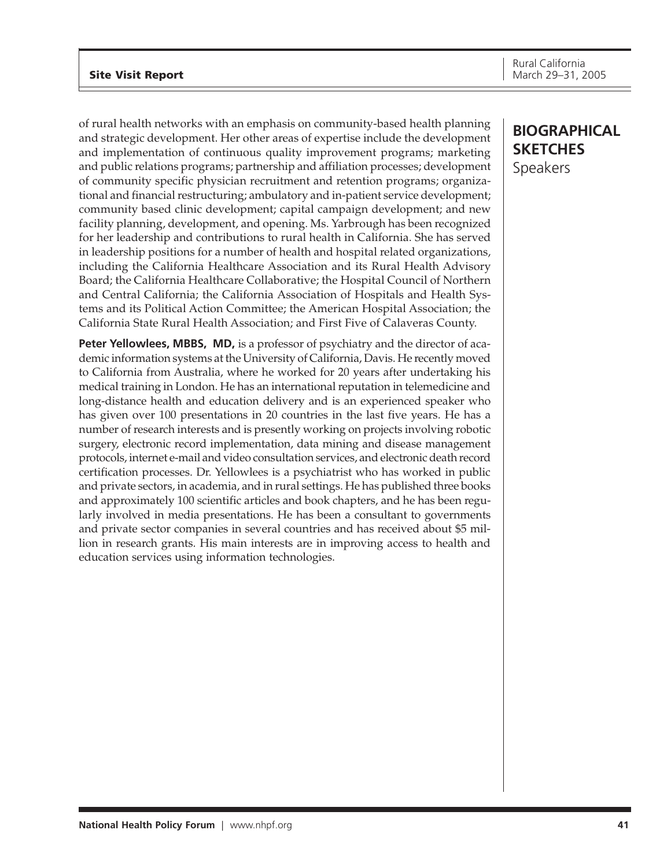## **Site Visit Report**

of rural health networks with an emphasis on community-based health planning and strategic development. Her other areas of expertise include the development and implementation of continuous quality improvement programs; marketing and public relations programs; partnership and affiliation processes; development of community specific physician recruitment and retention programs; organizational and financial restructuring; ambulatory and in-patient service development; community based clinic development; capital campaign development; and new facility planning, development, and opening. Ms. Yarbrough has been recognized for her leadership and contributions to rural health in California. She has served in leadership positions for a number of health and hospital related organizations, including the California Healthcare Association and its Rural Health Advisory Board; the California Healthcare Collaborative; the Hospital Council of Northern and Central California; the California Association of Hospitals and Health Systems and its Political Action Committee; the American Hospital Association; the California State Rural Health Association; and First Five of Calaveras County.

**Peter Yellowlees, MBBS, MD,** is a professor of psychiatry and the director of academic information systems at the University of California, Davis. He recently moved to California from Australia, where he worked for 20 years after undertaking his medical training in London. He has an international reputation in telemedicine and long-distance health and education delivery and is an experienced speaker who has given over 100 presentations in 20 countries in the last five years. He has a number of research interests and is presently working on projects involving robotic surgery, electronic record implementation, data mining and disease management protocols, internet e-mail and video consultation services, and electronic death record certification processes. Dr. Yellowlees is a psychiatrist who has worked in public and private sectors, in academia, and in rural settings. He has published three books and approximately 100 scientific articles and book chapters, and he has been regularly involved in media presentations. He has been a consultant to governments and private sector companies in several countries and has received about \$5 million in research grants. His main interests are in improving access to health and education services using information technologies.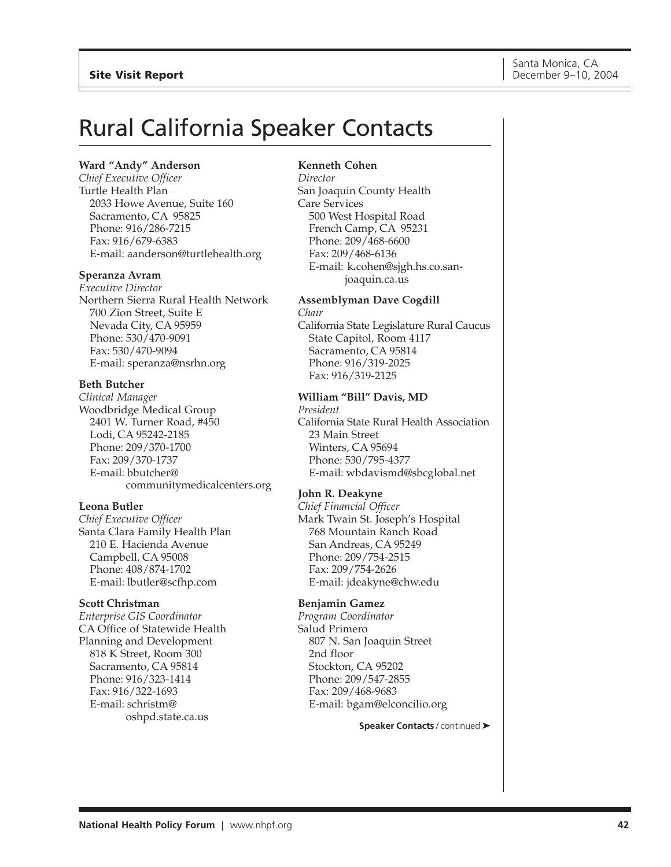# <span id="page-41-0"></span>Rural California Speaker Contacts

## **Ward "Andy" Anderson**

*Chief Executive Officer* Turtle Health Plan 2033 Howe Avenue, Suite 160 Sacramento, CA 95825 Phone: 916/286-7215 Fax: 916/679-6383 E-mail: aanderson@turtlehealth.org

#### **Speranza Avram**

*Executive Director* Northern Sierra Rural Health Network 700 Zion Street, Suite E Nevada City, CA 95959 Phone: 530/470-9091 Fax: 530/470-9094 E-mail: speranza@nsrhn.org

#### **Beth Butcher**

*Clinical Manager* Woodbridge Medical Group 2401 W. Turner Road, #450 Lodi, CA 95242-2185 Phone: 209/370-1700 Fax: 209/370-1737 E-mail: bbutcher@ communitymedicalcenters.org

#### **Leona Butler**

*Chief Executive Officer* Santa Clara Family Health Plan 210 E. Hacienda Avenue Campbell, CA 95008 Phone: 408/874-1702 E-mail: lbutler@scfhp.com

#### **Scott Christman**

*Enterprise GIS Coordinator* CA Office of Statewide Health Planning and Development 818 K Street, Room 300 Sacramento, CA 95814 Phone: 916/323-1414 Fax: 916/322-1693 E-mail: schristm@ oshpd.state.ca.us

#### **Kenneth Cohen**

*Director* San Joaquin County Health Care Services 500 West Hospital Road French Camp, CA 95231 Phone: 209/468-6600 Fax: 209/468-6136 E-mail: k**.**cohen@sjgh.hs.co.sanjoaquin.ca.us

## **Assemblyman Dave Cogdill**

*Chair* California State Legislature Rural Caucus State Capitol, Room 4117 Sacramento, CA 95814 Phone: 916/319-2025 Fax: 916/319-2125

## **William "Bill" Davis, MD**

*President* California State Rural Health Association 23 Main Street Winters, CA 95694 Phone: 530/795-4377 E-mail: wbdavismd@sbcglobal.net

## **John R. Deakyne**

*Chief Financial Officer* Mark Twain St. Joseph's Hospital 768 Mountain Ranch Road San Andreas, CA 95249 Phone: 209/754-2515 Fax: 209/754-2626 E-mail: jdeakyne@chw.edu

## **Benjamin Gamez**

*Program Coordinator* Salud Primero 807 N. San Joaquin Street 2nd floor Stockton, CA 95202 Phone: 209/547-2855 Fax: 209/468-9683 E-mail: bgam@elconcilio.org

#### **Speaker Contacts** / continued ➤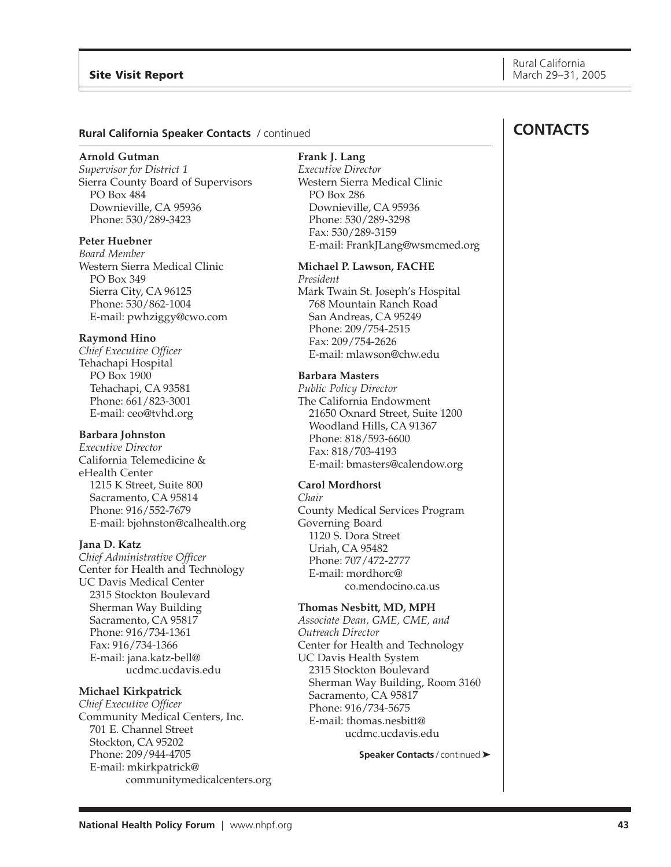#### **Rural California Speaker Contacts** / continued

#### **Arnold Gutman**

*Supervisor for District 1* Sierra County Board of Supervisors PO Box 484 Downieville, CA 95936 Phone: 530/289-3423

## **Peter Huebner**

*Board Member* Western Sierra Medical Clinic PO Box 349 Sierra City, CA 96125 Phone: 530/862-1004 E-mail: pwhziggy@cwo.com

#### **Raymond Hino**

*Chief Executive Officer* Tehachapi Hospital PO Box 1900 Tehachapi, CA 93581 Phone: 661/823-3001 E-mail: ceo@tvhd.org

## **Barbara Johnston**

*Executive Director* California Telemedicine & eHealth Center 1215 K Street, Suite 800 Sacramento, CA 95814 Phone: 916/552-7679 E-mail: bjohnston@calhealth.org

#### **Jana D. Katz**

*Chief Administrative Officer* Center for Health and Technology UC Davis Medical Center 2315 Stockton Boulevard Sherman Way Building Sacramento, CA 95817 Phone: 916/734-1361 Fax: 916/734-1366 E-mail: jana.katz-bell@ ucdmc.ucdavis.edu

#### **Michael Kirkpatrick**

*Chief Executive Officer* Community Medical Centers, Inc. 701 E. Channel Street Stockton, CA 95202 Phone: 209/944-4705 E-mail: mkirkpatrick@ communitymedicalcenters.org

## **Frank J. Lang**

*Executive Director* Western Sierra Medical Clinic PO Box 286 Downieville, CA 95936 Phone: 530/289-3298 Fax: 530/289-3159 E-mail: FrankJLang@wsmcmed.org

#### **Michael P. Lawson, FACHE** *President* Mark Twain St. Joseph's Hospital

768 Mountain Ranch Road San Andreas, CA 95249 Phone: 209/754-2515 Fax: 209/754-2626 E-mail: mlawson@chw.edu

## **Barbara Masters**

*Public Policy Director* The California Endowment 21650 Oxnard Street, Suite 1200 Woodland Hills, CA 91367 Phone: 818/593-6600 Fax: 818/703-4193 E-mail: bmasters@calendow.org

#### **Carol Mordhorst**

*Chair* County Medical Services Program Governing Board 1120 S. Dora Street Uriah, CA 95482 Phone: 707/472-2777 E-mail: mordhorc@ co.mendocino.ca.us

#### **Thomas Nesbitt, MD, MPH**

*Associate Dean, GME, CME, and Outreach Director* Center for Health and Technology UC Davis Health System 2315 Stockton Boulevard Sherman Way Building, Room 3160 Sacramento, CA 95817 Phone: 916/734-5675 E-mail: thomas.nesbitt@ ucdmc.ucdavis.edu

**Speaker Contacts** / continued ➤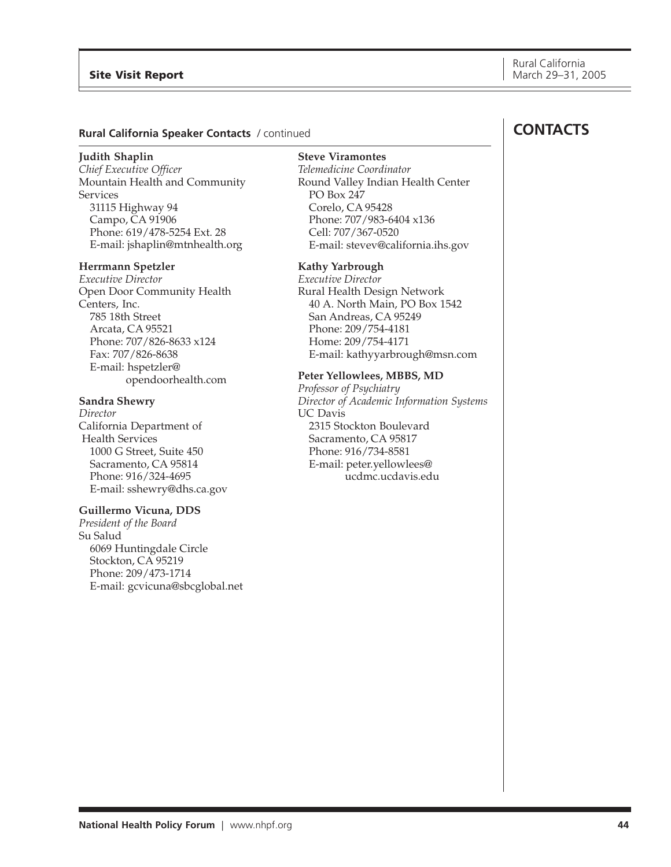## **Rural California Speaker Contacts** / continued

#### **Judith Shaplin**

*Chief Executive Officer* Mountain Health and Community Services 31115 Highway 94 Campo, CA 91906 Phone: 619/478-5254 Ext. 28 E-mail: jshaplin@mtnhealth.org

#### **Herrmann Spetzler**

*Executive Director* Open Door Community Health Centers, Inc. 785 18th Street Arcata, CA 95521 Phone: 707/826-8633 x124 Fax: 707/826-8638 E-mail: hspetzler@ opendoorhealth.com

#### **Sandra Shewry**

*Director* California Department of Health Services 1000 G Street, Suite 450 Sacramento, CA 95814 Phone: 916/324-4695 E-mail: sshewry@dhs.ca.gov

#### **Guillermo Vicuna, DDS**

*President of the Board* Su Salud 6069 Huntingdale Circle Stockton, CA 95219 Phone: 209/473-1714 E-mail: gcvicuna@sbcglobal.net **Steve Viramontes** *Telemedicine Coordinator* Round Valley Indian Health Center PO Box 247 Corelo, CA 95428 Phone: 707/983-6404 x136 Cell: 707/367-0520 E-mail: stevev@california.ihs.gov

#### **Kathy Yarbrough**

*Executive Director* Rural Health Design Network 40 A. North Main, PO Box 1542 San Andreas, CA 95249 Phone: 209/754-4181 Home: 209/754-4171 E-mail: kathyyarbrough@msn.com

#### **Peter Yellowlees, MBBS, MD**

*Professor of Psychiatry Director of Academic Information Systems* UC Davis 2315 Stockton Boulevard Sacramento, CA 95817 Phone: 916/734-8581 E-mail: peter.yellowlees@ ucdmc.ucdavis.edu

## **CONTACTS**